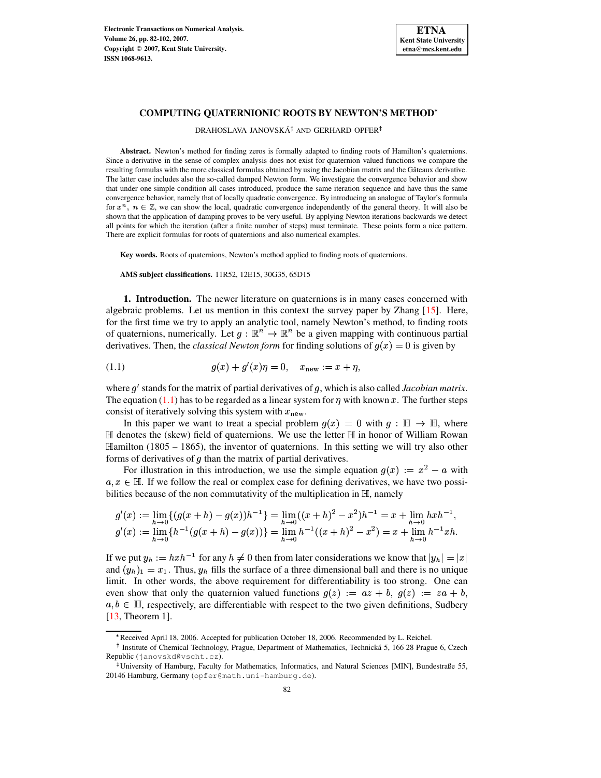

## **COMPUTING QUATERNIONIC ROOTS BY NEWTON'S METHOD**

DRAHOSLAVA JANOVSKÁ<sup>†</sup> AND GERHARD OPFER

**Abstract.** Newton's method for finding zeros is formally adapted to finding roots of Hamilton's quaternions. Since a derivative in the sense of complex analysis does not exist for quaternion valued functions we compare the resulting formulas with the more classical formulas obtained by using the Jacobian matrix and the Gâteaux derivative. The latter case includes also the so-called damped Newton form. We investigate the convergence behavior and show that under one simple condition all cases introduced, produce the same iteration sequence and have thus the same convergence behavior, namely that of locally quadratic convergence. By introducing an analogue of Taylor's formula for  $x^n$ ,  $n \in \mathbb{Z}$ , we can show the local, quadratic convergence independently of the general theory. It will also be shown that the application of damping proves to be very useful. By applying Newton iterations backwards we detect all points for which the iteration (after a finite number of steps) must terminate. These points form a nice pattern. There are explicit formulas for roots of quaternions and also numerical examples.

**Key words.** Roots of quaternions, Newton's method applied to finding roots of quaternions.

**AMS subject classifications.** 11R52, 12E15, 30G35, 65D15

**1. Introduction.** The newer literature on quaternions is in many cases concerned with algebraic problems. Let us mention in this context the survey paper by Zhang [\[15\]](#page-20-0). Here, for the first time we try to apply an analytic tool, namely Newton's method, to finding roots of quaternions, numerically. Let  $g : \mathbb{R}^n \to \mathbb{R}^n$  be a given mapping with continuous partial derivatives. Then, the *classical Newton form* for finding solutions of  $g(x) = 0$  is given by

<span id="page-0-0"></span>(1.1) 
$$
g(x) + g'(x)\eta = 0, \quad x_{\text{new}} := x + \eta,
$$

where g' stands for the matrix of partial derivatives of g, which is also called *Jacobian matrix*. The equation [\(1.1\)](#page-0-0) has to be regarded as a linear system for  $\eta$  with known x. The further steps consist of iteratively solving this system with  $x_{\text{new}}$ .

In this paper we want to treat a special problem  $g(x) = 0$  with  $g: \mathbb{H} \to \mathbb{H}$ , where  $\mathbb H$  denotes the (skew) field of quaternions. We use the letter  $\mathbb H$  in honor of William Rowan  $\mathbb{H}$ amilton (1805 – 1865), the inventor of quaternions. In this setting we will try also other forms of derivatives of  $g$  than the matrix of partial derivatives.

For illustration in this introduction, we use the simple equation  $g(x) := x^2 - a$  with  $a, x \in \mathbb{H}$ . If we follow the real or complex case for defining derivatives, we have two possibilities because of the non commutativity of the multiplication in  $\mathbb{H}$ , namely

$$
g'(x) := \lim_{h \to 0} \{ (g(x+h) - g(x))h^{-1} \} = \lim_{h \to 0} ((x+h)^2 - x^2)h^{-1} = x + \lim_{h \to 0} hxh^{-1},
$$
  

$$
g'(x) := \lim_{h \to 0} \{ h^{-1} (g(x+h) - g(x)) \} = \lim_{h \to 0} h^{-1} ((x+h)^2 - x^2) = x + \lim_{h \to 0} h^{-1}xh.
$$

If we put  $y_h := h x h^{-1}$  for any  $h \neq 0$  then from later considerations we know that  $|y_h| = |x|$ and  $(y_h)_1 = x_1$ . Thus,  $y_h$  fills the surface of a three dimensional ball and there is no unique  $\frac{M_{11}}{M_{21}}$  and  $\frac{M_{21}}{M_{21}}$  and  $\frac{M_{12}}{M_{21}}$  and  $\frac{M_{22}}{M_{22}}$  and  $\frac{M_{21}}{M_{21}}$  and  $\frac{M_{22}}{M_{21}}$  are and  $\frac{M_{21}}{M_{21}}$  and  $\frac{M_{22}}{M_{21}}$  are  $\frac{M_{21}}{M_{21}}$ even show that only the quaternion valued functions  $g(z) := az + b$ ,  $g(z) := za + b$ ,  $a, b \in \mathbb{H}$ , respectively, are differentiable with respect to the two given definitions, Sudbery [\[13,](#page-20-1) Theorem 1].

w Received April 18, 2006. Accepted for publication October 18, 2006. Recommended by L. Reichel.

<sup>&</sup>lt;sup>†</sup> Institute of Chemical Technology, Prague, Department of Mathematics, Technická 5, 166 28 Prague 6, Czech Republic (janovskd@vscht.cz).

<sup>-</sup> University of Hamburg, Faculty for Mathematics, Informatics, and Natural Sciences [MIN], Bundestraße 55, 20146 Hamburg, Germany (opfer@math.uni-hamburg.de).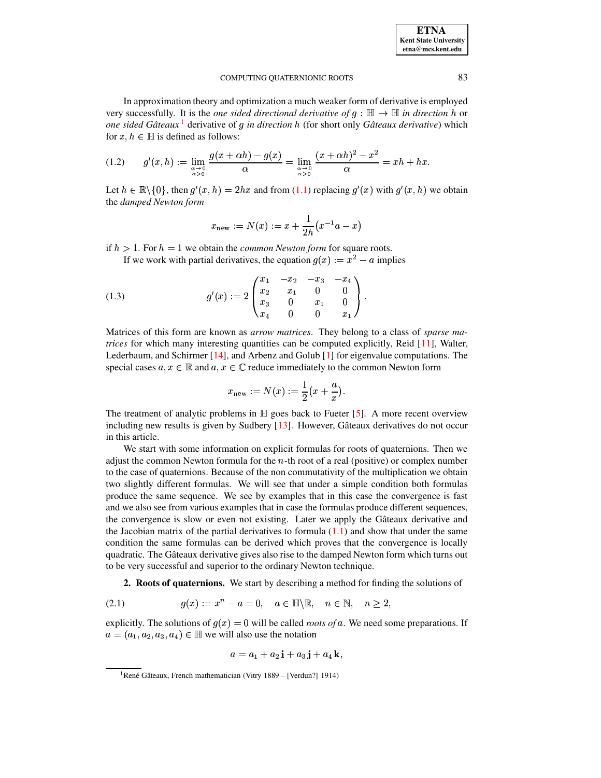| <b>ETNA</b>                  |
|------------------------------|
| <b>Kent State University</b> |
| etna@mcs.kent.edu            |

In approximation theory and optimization a much weaker form of derivative is employed very successfully. It is the *one* sided directional derivative of  $g: \mathbb{H} \to \mathbb{H}$  in direction h or *one sided Gateaux ˆ* [1](#page-1-0) derivative of *in direction* <sup>T</sup> (for short only *Gateaux ˆ derivative*) which for  $x, h \in \mathbb{H}$  is defined as follows:

<span id="page-1-4"></span>
$$
(1.2) \qquad g'(x,h) := \lim_{\substack{\alpha \to 0 \\ \alpha > 0}} \frac{g(x + \alpha h) - g(x)}{\alpha} = \lim_{\substack{\alpha \to 0 \\ \alpha > 0}} \frac{(x + \alpha h)^2 - x^2}{\alpha} = xh + hx.
$$

Let  $h \in \mathbb{R} \setminus \{0\}$ , then  $g'(x, h) = 2hx$  and from  $(1.1)$  replacing  $g'(x)$  with  $g'(x, h)$  we obtain the *damped Newton form*

$$
x_{\rm new}:=N(x):=x+\frac{1}{2h}\big(x^{-1}a-x\big)
$$

if  $h > 1$ . For  $h = 1$  we obtain the *common Newton form* for square roots.

If we work with partial derivatives, the equation  $g(x) := x^2 - a$  implies

<span id="page-1-3"></span>(1.3) 
$$
g'(x) := 2 \begin{pmatrix} x_1 & -x_2 & -x_3 & -x_4 \\ x_2 & x_1 & 0 & 0 \\ x_3 & 0 & x_1 & 0 \\ x_4 & 0 & 0 & x_1 \end{pmatrix}.
$$

Matrices of this form are known as *arrow matrices*. They belong to a class of *sparse matrices* for which many interesting quantities can be computed explicitly, Reid [\[11\]](#page-20-2), Walter, Lederbaum, and Schirmer [\[14\]](#page-20-3), and Arbenz and Golub [\[1\]](#page-20-4) for eigenvalue computations. The special cases  $a, x \in \mathbb{R}$  and  $a, x \in \mathbb{C}$  reduce immediately to the common Newton form

$$
x_{\text{new}} := N(x) := \frac{1}{2}(x + \frac{a}{x}).
$$

The treatment of analytic problems in  $\mathbb{H}$  goes back to Fueter [\[5\]](#page-20-5). A more recent overview including new results is given by Sudbery  $[13]$ . However, Gâteaux derivatives do not occur in this article.

We start with some information on explicit formulas for roots of quaternions. Then we adjust the common Newton formula for the  $n$ -th root of a real (positive) or complex number to the case of quaternions. Because of the non commutativity of the multiplication we obtain two slightly different formulas. We will see that under a simple condition both formulas produce the same sequence. We see by examples that in this case the convergence is fast and we also see from various examples that in case the formulas produce different sequences, the convergence is slow or even not existing. Later we apply the Gâteaux derivative and the Jacobian matrix of the partial derivatives to formula  $(1.1)$  and show that under the same condition the same formulas can be derived which proves that the convergence is locally quadratic. The Gâteaux derivative gives also rise to the damped Newton form which turns out to be very successful and superior to the ordinary Newton technique.

**2. Roots of quaternions.** We start by describing a method for finding the solutions of

<span id="page-1-2"></span><span id="page-1-1"></span>
$$
(2.1) \t\t g(x) := x^n - a = 0, \quad a \in \mathbb{H} \setminus \mathbb{R}, \quad n \in \mathbb{N}, \quad n \ge 2,
$$

explicitly. The solutions of  $g(x) = 0$  will be called *roots of* a. We need some preparations. If  $a = (a_1, a_2, a_3, a_4) \in \mathbb{H}$  we will also use the notation

$$
a = a_1 + a_2 \mathbf{i} + a_3 \mathbf{j} + a_4 \mathbf{k},
$$

<span id="page-1-0"></span><sup>&</sup>lt;sup>1</sup> René Gâteaux, French mathematician (Vitry 1889 – [Verdun?] 1914)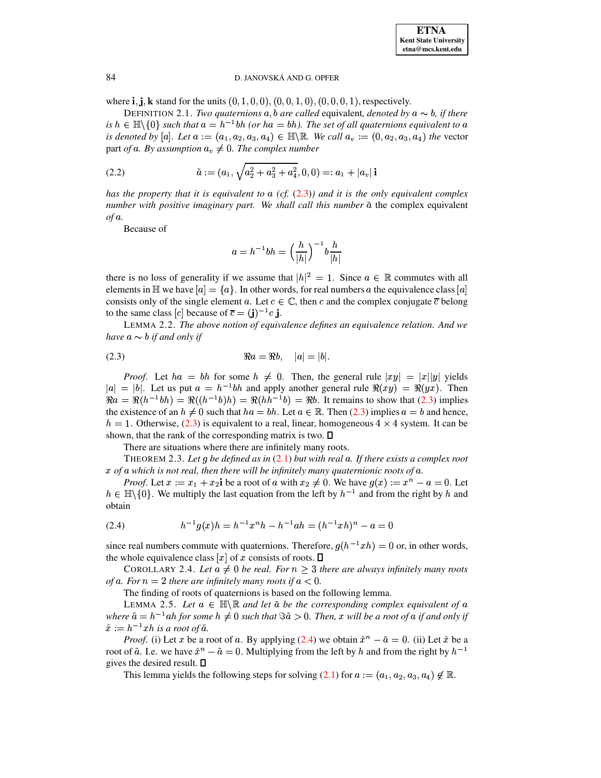where  $\mathbf{i}, \mathbf{j}, \mathbf{k}$  stand for the units  $(0, 1, 0, 0), (0, 0, 1, 0), (0, 0, 0, 1)$ , respectively.

DEFINITION 2.1. *Two quaternions*  $a, b$  *are called* equivalent, *denoted by*  $a \sim b$ , *if there is*  $h \in \mathbb{H} \setminus \{0\}$  *such that*  $a = h^{-1}bh$  (or  $ha = bh$ ). The set of all quaternions equivalent to  $a$ *is denoted by* [a]. Let  $a := (a_1, a_2, a_3, a_4) \in \mathbb{H} \setminus \mathbb{R}$ . We call  $a_v := (0, a_2, a_3, a_4)$  the vector  $\frac{1}{2}$  part *of* a. By assumption  $a_v \neq 0$ . The complex number

(2.2) 
$$
\tilde{a} := (a_1, \sqrt{a_2^2 + a_3^2 + a_4^2}, 0, 0) =: a_1 + |a_v| \mathbf{i}
$$

*has* the property that it is equivalent to a (cf. [\(2.3\)](#page-2-0)) and it is the only equivalent complex *number* with *positive imaginary part.* We shall call this *number*  $\tilde{a}$  the complex equivalent *of*  $a$ *.* 

Because of

$$
a=h^{-1}bh=\Big(\frac{h}{|h|}\Big)^{-1}b\frac{h}{|h|}
$$

there is no loss of generality if we assume that  $|h|^2 = 1$ . Since  $a \in \mathbb{R}$  commutes with all elements in  $\mathbb{H}$  we have  $[a] = \{a\}$ . In other words, for real numbers a the equivalence class  $[a]$ consists only of the single element a. Let  $c \in \mathbb{C}$ , then c and the complex conjugate  $\bar{c}$  belong to the same class  $[c]$  because of  $\overline{c} = (\mathbf{j})^{-1} c \mathbf{j}$ .

<span id="page-2-3"></span>LEMMA 2.2. *The above notion of equivalence defines an equivalence relation. And we have*  $a \sim b$  *if and only if* 

<span id="page-2-0"></span>(2.3) 
$$
\Re a = \Re b, \quad |a| = |b|.
$$

*Proof.* Let  $ha = bh$  for some  $h \neq 0$ . Then, the general rule  $|xy| = |x||y|$  yields  $= |b|$ . Let us put  $a = h^{-1}bh$  and apply another general rule  $\Re(xu) = \Re(ux)$ . Then *Proof.* Let  $ha = bh$  for some  $h \neq 0$ . Then, the general rule  $|xy| = |x||y|$  yields  $|a| = |b|$ . Let us put  $a = h^{-1}bh$  and apply another general rule  $\Re(xy) = \Re(yx)$ . Then  $\Re a = \Re(h^{-1}bh) = \Re((h^{-1}bh) = \Re(hh^{-1}b) = \Re(hh^{-1}bh) = \Re(hh^{-1}bh)$ . It |. Let us put  $a = h^{-1}bh$  and apply another general rule  $\Re(xy) = \Re(yx)$ . Then  $(h^{-1}bh) = \Re((h^{-1}b)h) = \Re(hh^{-1}b) = \Re b$ . It remains to show that [\(2.3\)](#page-2-0) implies the existence of an  $h \neq 0$  such that  $ha = bh$ . Let  $a \in \mathbb{R}$ . Then [\(2.3\)](#page-2-0) implies  $a = b$  and hence,  $h = 1$ . Otherwise, [\(2.3\)](#page-2-0) is equivalent to a real, linear, homogeneous  $4 \times 4$  system. It can be shown, that the rank of the corresponding matrix is two.  $\square$ 

There are situations where there are infinitely many roots.

THEOREM 2.3. Let q be defined as in  $(2.1)$  but with real a. If there exists a complex root *x of a which is not real, then there will be infinitely many quaternionic roots of a.* 

*Proof.* Let  $x := x_1 + x_2$  be a root of a with  $x_2 \neq 0$ . We have  $g(x) := x^n - a = 0$ . Let  $h \in \mathbb{H}\backslash \{0\}$ . We multiply the last equation from the left by  $h^{-1}$  and from the right by h and obtain

<span id="page-2-1"></span>(2.4) 
$$
h^{-1}g(x)h = h^{-1}x^{n}h - h^{-1}ah = (h^{-1}xh)^{n} - a = 0
$$

since real numbers commute with quaternions. Therefore,  $g(h^{-1}xh) = 0$  or, in other words, the whole equivalence class  $[x]$  of  $x$  consists of roots.  $\square$ 

COROLLARY 2.4. Let  $a \neq 0$  be real. For  $n \geq 3$  there are always infinitely many roots *of* a. For  $n = 2$  there are infinitely many roots if  $a < 0$ .

The finding of roots of quaternions is based on the following lemma.

<span id="page-2-2"></span>LEMMA 2.5. Let  $a \in \mathbb{H} \setminus \mathbb{R}$  and let  $\tilde{a}$  be the corresponding complex equivalent of  $a$ where  $\tilde{a} = h^{-1}ah$  for some  $h \neq 0$  such that  $\Im \tilde{a} > 0$ . Then,  $x$  will be a root of  $a$  if and only if  $\hat{x} := h^{-1}xh$  is a root of  $\tilde{a}$ .

*Proof.* (i) Let x be a root of a. By applying [\(2.4\)](#page-2-1) we obtain  $\hat{x}^n - \tilde{a} = 0$ . (ii) Let x be a root of  $\tilde{a}$ . I.e. we have  $\hat{x}^n - \tilde{a} = 0$ . Multiplying from the left by  $h$  and from the right by  $h^{-1}$ gives the desired result.  $\square$ 

This lemma yields the following steps for solving  $(2.1)$  for  $a := (a_1, a_2, a_3, a_4) \notin \mathbb{R}$ .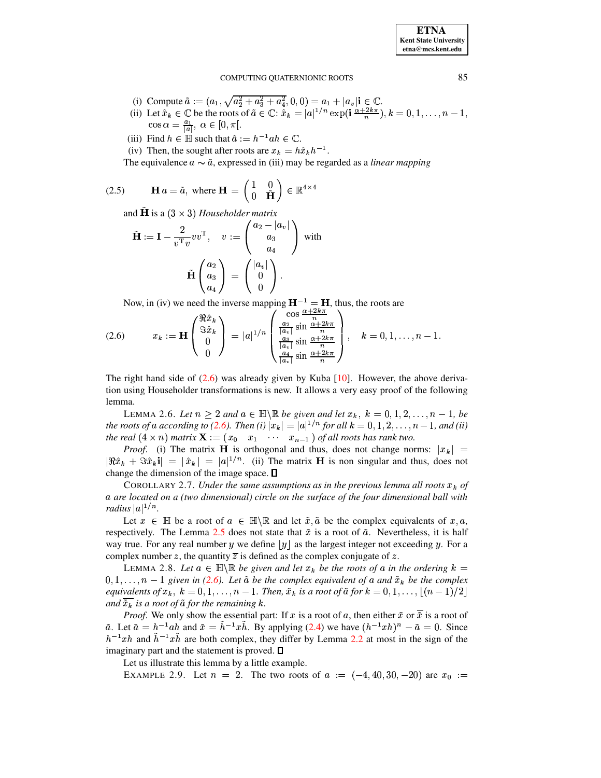**ETNA Kent State University**  $etna@mcs. kent.edu$ 

#### COMPUTING QUATERNIONIC ROOTS

- 
- (i) Compute  $\tilde{a} := (a_1, \sqrt{a_2^2 + a_3^2 + a_4^2}, 0, 0) = a_1 + |a_v| \in \mathbb{C}$ .<br>
(ii) Let  $\hat{x}_k \in \mathbb{C}$  be the roots of  $\tilde{a} \in \mathbb{C}$ :  $\hat{x}_k = |a|^{1/n} \exp(i \frac{\alpha + 2k\pi}{n}), k = 0, 1, ..., n 1$ ,  $\cos \alpha = \frac{a_1}{|a|}, \alpha \in [0, \pi[$ .
- (iii) Find  $h \in \mathbb{H}$  such that  $\tilde{a} := h^{-1}ah \in \mathbb{C}$ .
- (iv) Then, the sought after roots are  $x_k = h\hat{x}_k h^{-1}$ .

The equivalence  $a \sim \tilde{a}$ , expressed in (iii) may be regarded as a *linear mapping* 

<span id="page-3-0"></span>(2.5) 
$$
\mathbf{H} a = \tilde{a}, \text{ where } \mathbf{H} = \begin{pmatrix} 1 & 0 \\ 0 & \tilde{\mathbf{H}} \end{pmatrix} \in \mathbb{R}^{4 \times 4}
$$

and **H** is a  $(3 \times 3)$  *Householder matrix* 

$$
\tilde{\mathbf{H}} := \mathbf{I} - \frac{2}{v^{\mathrm{T}}v} vv^{\mathrm{T}}, \quad v := \begin{pmatrix} a_2 - |a_v| \\ a_3 \\ a_4 \\ a_4 \end{pmatrix} \text{ with }
$$

$$
\tilde{\mathbf{H}} \begin{pmatrix} a_2 \\ a_3 \\ a_4 \end{pmatrix} = \begin{pmatrix} |a_v| \\ 0 \\ 0 \end{pmatrix}.
$$

Now, in (iv) we need the inverse mapping  $\mathbf{H}^{-1} = \mathbf{H}$ , thus, the roots are

$$
(2.6) \t x_k := \mathbf{H} \begin{pmatrix} \Re \hat{x}_k \\ \Im \hat{x}_k \\ 0 \\ 0 \end{pmatrix} = |a|^{1/n} \begin{pmatrix} \cos \frac{\Delta + 2k\pi}{n} \\ \frac{a_2}{|a_v|} \sin \frac{\alpha + 2k\pi}{n} \\ \frac{a_3}{|a_v|} \sin \frac{\alpha + 2k\pi}{n} \\ \frac{a_4}{|a_v|} \sin \frac{\alpha + 2k\pi}{n} \end{pmatrix}, \t k = 0, 1, \dots, n - 1.
$$

The right hand side of  $(2.6)$  was already given by Kuba [10]. However, the above derivation using Householder transformations is new. It allows a very easy proof of the following lemma.

LEMMA 2.6. Let  $n \geq 2$  and  $a \in \mathbb{H} \setminus \mathbb{R}$  be given and let  $x_k$ ,  $k = 0, 1, 2, ..., n - 1$ , be the roots of a according to (2.6). Then (i)  $|x_k| = |a|^{1/n}$  for all  $k = 0, 1, 2, ..., n - 1$ , and (ii) the real  $(4 \times n)$  matrix  $\mathbf{X} := (x_0 \ x_1 \ \cdots \ x_{n-1})$  of all roots has rank two.

*Proof.* (i) The matrix **H** is orthogonal and thus, does not change norms:  $|x_k|$  =  $|\Re \hat{x}_k + \Im \hat{x}_k| = |\hat{x}_k| = |a|^{1/n}$ . (ii) The matrix **H** is non singular and thus, does not change the dimension of the image space.  $\square$ 

COROLLARY 2.7. Under the same assumptions as in the previous lemma all roots  $x_k$  of a are located on a (two dimensional) circle on the surface of the four dimensional ball with *radius*  $|a|^{1/n}$ .

Let  $x \in \mathbb{H}$  be a root of  $a \in \mathbb{H} \backslash \mathbb{R}$  and let  $\tilde{x}, \tilde{a}$  be the complex equivalents of  $x, a$ , respectively. The Lemma 2.5 does not state that  $\tilde{x}$  is a root of  $\tilde{a}$ . Nevertheless, it is half way true. For any real number y we define  $|y|$  as the largest integer not exceeding y. For a complex number z, the quantity  $\overline{z}$  is defined as the complex conjugate of z.

<span id="page-3-1"></span>LEMMA 2.8. Let  $a \in \mathbb{H} \backslash \mathbb{R}$  be given and let  $x_k$  be the roots of a in the ordering  $k =$  $0, 1, \ldots, n-1$  given in (2.6). Let  $\tilde{a}$  be the complex equivalent of a and  $\tilde{x}_k$  be the complex equivalents of  $x_k$ ,  $k = 0, 1, ..., n - 1$ . Then,  $\tilde{x}_k$  is a root of  $\tilde{a}$  for  $k = 0, 1, ..., |(n-1)/2|$ and  $\tilde{x}_k$  is a root of  $\tilde{a}$  for the remaining k.

*Proof.* We only show the essential part: If x is a root of a, then either  $\tilde{x}$  or  $\overline{\tilde{x}}$  is a root of  $\tilde{a}$ . Let  $\tilde{a} = h^{-1}ah$  and  $\tilde{x} = \tilde{h}^{-1}x\tilde{h}$ . By applying (2.4) we have  $(h^{-1}xh)^n - \tilde{a} = 0$ . Since  $h^{-1}xh$  and  $\tilde{h}^{-1}x\tilde{h}$  are both complex, they differ by Lemma 2.2 at most in the sign of the imaginary part and the statement is proved.  $\Box$ 

Let us illustrate this lemma by a little example.

EXAMPLE 2.9. Let  $n = 2$ . The two roots of  $a := (-4, 40, 30, -20)$  are  $x_0 :=$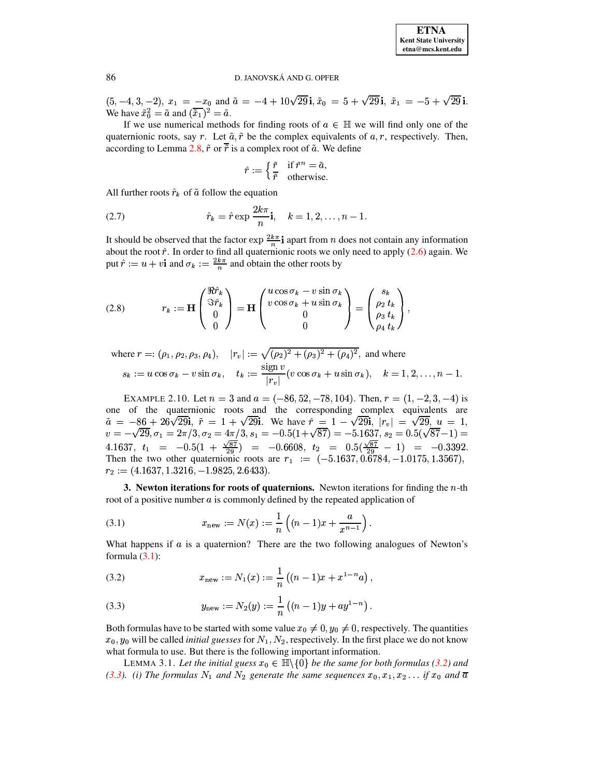$(5, -4, 3, -2), x_1 = -x_0$  and  $\tilde{a} = -4 + 10\sqrt{29}i, \tilde{x}_0 = 5 + \sqrt{29}i, \tilde{x}_1 = -5 + \sqrt{29}i.$ We have  $\tilde{x}_0^2 = \tilde{a}$  and  $(\tilde{x}_1)^2 = \tilde{a}$ .

If we use numerical methods for finding roots of  $a \in \mathbb{H}$  we will find only one of the quaternionic roots, say r. Let  $\tilde{a}$ ,  $\tilde{r}$  be the complex equivalents of  $a, r$ , respectively. Then, according to Lemma 2.8,  $\tilde{r}$  or  $\overline{\tilde{r}}$  is a complex root of  $\tilde{a}$ . We define

$$
\hat{r} := \begin{cases} \frac{\tilde{r}}{\tilde{r}} & \text{if } \tilde{r}^n = \tilde{a}, \\ 0 & \text{otherwise.} \end{cases}
$$

All further roots  $\hat{r}_k$  of  $\tilde{a}$  follow the equation

(2.7) 
$$
\hat{r}_k = \hat{r} \exp \frac{2k\pi}{n} \mathbf{i}, \quad k = 1, 2, \dots, n-1.
$$

It should be observed that the factor  $\exp \frac{2k\pi}{n} i$  apart from *n* does not contain any information about the root  $\hat{r}$ . In order to find all quaternionic roots we only need to apply (2.6) again. We put  $\hat{r} := u + v$  i and  $\sigma_k := \frac{2k\pi}{n}$  and obtain the other roots by

(2.8) 
$$
r_k := \mathbf{H} \begin{pmatrix} \Re \hat{r}_k \\ \Im \hat{r}_k \\ 0 \\ 0 \end{pmatrix} = \mathbf{H} \begin{pmatrix} u \cos \sigma_k - v \sin \sigma_k \\ v \cos \sigma_k + u \sin \sigma_k \\ 0 \\ 0 \end{pmatrix} = \begin{pmatrix} s_k \\ \rho_2 t_k \\ \rho_3 t_k \\ \rho_4 t_k \end{pmatrix}
$$

where 
$$
r =: (\rho_1, \rho_2, \rho_3, \rho_4)
$$
,  $|r_v| := \sqrt{(\rho_2)^2 + (\rho_3)^2 + (\rho_4)^2}$ , and where  
\n $s_k := u \cos \sigma_k - v \sin \sigma_k$ ,  $t_k := \frac{\text{sign } v}{|r_v|} (v \cos \sigma_k + u \sin \sigma_k)$ ,  $k = 1, 2, ..., n - 1$ .

<span id="page-4-4"></span>EXAMPLE 2.10. Let  $n = 3$  and  $a = (-86, 52, -78, 104)$ . Then,  $r = (1, -2, 3, -4)$  is one of the quaternionic roots and the corresponding complex equivalents are  $\tilde{a} = -86 + 26\sqrt{29}i$ ,  $\tilde{r} = 1 + \sqrt{29}i$ . We have  $\hat{r} = 1 - \sqrt{29}i$ ,  $|r_v| = \sqrt{29}i$ ,  $u = 1$ ,  $v = -\sqrt{29}, \sigma_1 = 2\pi/3, \sigma_2 = 4\pi/3, s_1 = -0.5(1 + \sqrt{87}) = -5.1637, s_2 = 0.5(\sqrt{87}-1) = 4.1637, t_1 = -0.5(1 + \frac{\sqrt{87}}{29}) = -0.6608, t_2 = 0.5(\frac{\sqrt{87}}{29} - 1) = -0.3392.$ <br>Then the two other quaternionic roots are  $r_1 := (-5.1637, 0.6784, -1.017$  $r_2 := (4.1637, 1.3216, -1.9825, 2.6433).$ 

**3.** Newton iterations for roots of quaternions. Newton iterations for finding the  $n$ -th root of a positive number  $\alpha$  is commonly defined by the repeated application of

<span id="page-4-0"></span>(3.1) 
$$
x_{\text{new}} := N(x) := \frac{1}{n} \left( (n-1)x + \frac{a}{x^{n-1}} \right)
$$

What happens if  $\alpha$  is a quaternion? There are the two following analogues of Newton's formula  $(3.1)$ :

<span id="page-4-1"></span>(3.2) 
$$
x_{\text{new}} := N_1(x) := \frac{1}{n} \left( (n-1)x + x^{1-n} a \right)
$$

<span id="page-4-2"></span>(3.3) 
$$
y_{\text{new}} := N_2(y) := \frac{1}{n} \left( (n-1)y + ay^{1-n} \right)
$$

Both formulas have to be started with some value  $x_0 \neq 0, y_0 \neq 0$ , respectively. The quantities  $x_0, y_0$  will be called *initial guesses* for  $N_1, N_2$ , respectively. In the first place we do not know what formula to use. But there is the following important information.

<span id="page-4-3"></span>LEMMA 3.1. Let the initial guess  $x_0 \in \mathbb{H} \setminus \{0\}$  be the same for both formulas (3.2) and (3.3). (i) The formulas  $N_1$  and  $N_2$  generate the same sequences  $x_0, x_1, x_2 \ldots$  if  $x_0$  and  $\overline{a}$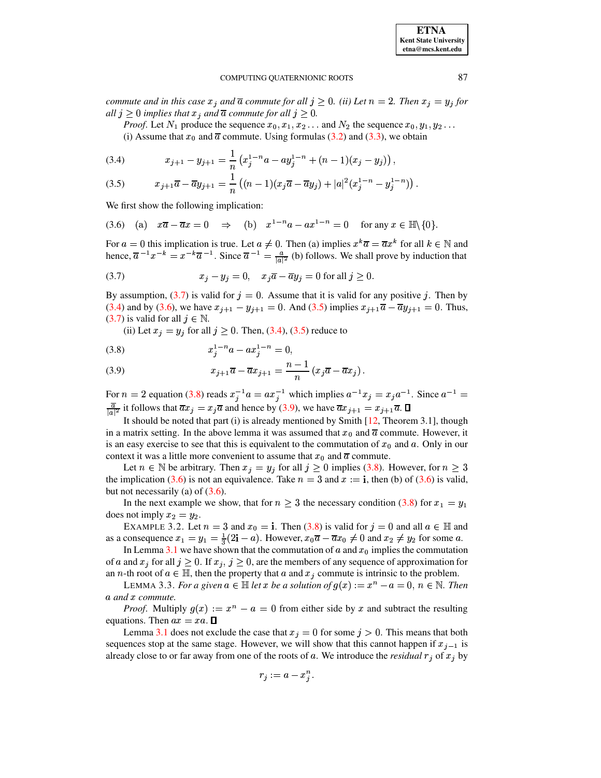**ETNA Kent State University**  $etna@mcs. kent.edu$ 

#### COMPUTING OUATERNIONIC ROOTS

commute and in this case  $x_j$  and  $\overline{a}$  commute for all  $j \ge 0$ . (ii) Let  $n = 2$ . Then  $x_j = y_j$  for all  $j \geq 0$  implies that  $x_j$  and  $\overline{a}$  commute for all  $j \geq 0$ .

*Proof.* Let  $N_1$  produce the sequence  $x_0, x_1, x_2 \ldots$  and  $N_2$  the sequence  $x_0, y_1, y_2 \ldots$ 

(i) Assume that  $x_0$  and  $\overline{a}$  commute. Using formulas (3.2) and (3.3), we obtain

<span id="page-5-1"></span>(3.4) 
$$
x_{j+1} - y_{j+1} = \frac{1}{n} \left( x_j^{1-n} a - a y_j^{1-n} + (n-1)(x_j - y_j) \right),
$$

(3.5) 
$$
x_{j+1}\overline{a}-\overline{a}y_{j+1}=\frac{1}{n}\left((n-1)(x_j\overline{a}-\overline{a}y_j)+|a|^2(x_j^{1-n}-y_j^{1-n})\right).
$$

We first show the following implication:

<span id="page-5-2"></span>
$$
(3.6) \quad \text{(a)} \quad x\overline{a} - \overline{a}x = 0 \quad \Rightarrow \quad \text{(b)} \quad x^{1-n}a - ax^{1-n} = 0 \quad \text{for any } x \in \mathbb{H}\backslash\{0\}.
$$

For  $a = 0$  this implication is true. Let  $a \neq 0$ . Then (a) implies  $x^k \overline{a} = \overline{a} x^k$  for all  $k \in \mathbb{N}$  and hence,  $\overline{a}^{-1}x^{-k} = x^{-k}\overline{a}^{-1}$ . Since  $\overline{a}^{-1} = \frac{a}{|a|^2}$  (b) follows. We shall prove by induction that

<span id="page-5-0"></span>(3.7) 
$$
x_j - y_j = 0, \quad x_j \overline{a} - \overline{a} y_j = 0 \text{ for all } j \ge 0.
$$

By assumption, (3.7) is valid for  $j = 0$ . Assume that it is valid for any positive j. Then by (3.4) and by (3.6), we have  $x_{j+1} - y_{j+1} = 0$ . And (3.5) implies  $x_{j+1} \overline{a} - \overline{a} y_{j+1} = 0$ . Thus, (3.7) is valid for all  $j \in \mathbb{N}$ .

<span id="page-5-3"></span>(ii) Let  $x_j = y_j$  for all  $j \ge 0$ . Then, (3.4), (3.5) reduce to

(3.8) 
$$
x_j^{1-n}a - ax_j^{1-n} = 0
$$

(3.9) 
$$
x_{j+1}\overline{a}-\overline{a}x_{j+1}=\frac{n-1}{n}(x_j\overline{a}-\overline{a}x_j).
$$

For  $n = 2$  equation (3.8) reads  $x_j^{-1}a = ax_j^{-1}$  which implies  $a^{-1}x_j = x_j a^{-1}$ . Since  $a^{-1} =$  $\frac{\overline{a}}{|a|^2}$  it follows that  $\overline{a}x_j = x_j\overline{a}$  and hence by (3.9), we have  $\overline{a}x_{j+1} = x_{j+1}\overline{a}$ .  $\Box$ 

It should be noted that part (i) is already mentioned by Smith [12, Theorem 3.1], though in a matrix setting. In the above lemma it was assumed that  $x_0$  and  $\overline{a}$  commute. However, it is an easy exercise to see that this is equivalent to the commutation of  $x_0$  and a. Only in our context it was a little more convenient to assume that  $x_0$  and  $\overline{a}$  commute.

Let  $n \in \mathbb{N}$  be arbitrary. Then  $x_j = y_j$  for all  $j \ge 0$  implies (3.8). However, for  $n \ge 3$ the implication (3.6) is not an equivalence. Take  $n = 3$  and  $x := i$ , then (b) of (3.6) is valid, but not necessarily (a) of  $(3.6)$ .

In the next example we show, that for  $n \geq 3$  the necessary condition (3.8) for  $x_1 = y_1$ does not imply  $x_2 = y_2$ .

EXAMPLE 3.2. Let  $n = 3$  and  $x_0 = i$ . Then (3.8) is valid for  $j = 0$  and all  $a \in \mathbb{H}$  and as a consequence  $x_1 = y_1 = \frac{1}{3}(2\mathbf{i} - a)$ . However,  $x_0\overline{a} - \overline{a}x_0 \neq 0$  and  $x_2 \neq y_2$  for some a.

In Lemma 3.1 we have shown that the commutation of  $a$  and  $x_0$  implies the commutation of a and  $x_j$  for all  $j \geq 0$ . If  $x_j$ ,  $j \geq 0$ , are the members of any sequence of approximation for an *n*-th root of  $a \in \mathbb{H}$ , then the property that a and  $x_j$  commute is intrinsic to the problem.

LEMMA 3.3. For a given  $a \in \mathbb{H}$  let x be a solution of  $g(x) := x^n - a = 0$ ,  $n \in \mathbb{N}$ . Then a and x commute.

*Proof.* Multiply  $g(x) := x^n - a = 0$  from either side by x and subtract the resulting equations. Then  $ax = xa$ .  $\square$ 

Lemma 3.1 does not exclude the case that  $x_j = 0$  for some  $j > 0$ . This means that both sequences stop at the same stage. However, we will show that this cannot happen if  $x_{i-1}$  is already close to or far away from one of the roots of a. We introduce the *residual*  $r_i$  of  $x_i$  by

$$
r_j:=a-x_j^n.
$$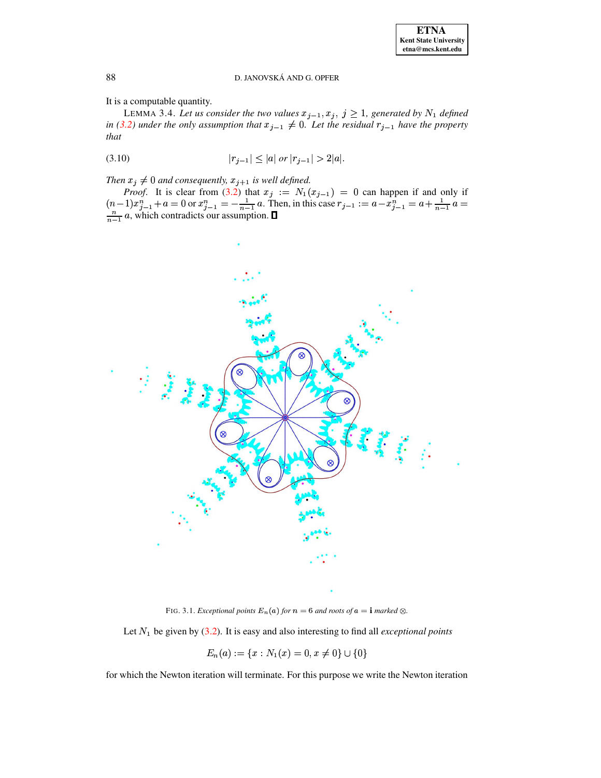It is a computable quantity.

LEMMA 3.4. Let us consider the two values  $x_{j-1}, x_j, j \ge 1$ , generated by  $N_1$  defined *in* [\(3.2\)](#page-4-1) *under the only assumption that*  $x_{j-1} \neq 0$ . Let the residual  $r_{j-1}$  have the property *that*

<span id="page-6-1"></span>
$$
|r_{j-1}| \le |a| \text{ or } |r_{j-1}| > 2|a|.
$$

*Then*  $x_j \neq 0$  *and consequently,*  $x_{j+1}$  *is well defined.* 

*Proof.* It is clear from [\(3.2\)](#page-4-1) that  $x_j := N_1(x_{j-1}) = 0$  can happen if and only if  $(n-1)x_{j-1}^n + a = 0$  or  $x_{j-1}^n = -\frac{1}{n-1}a$ . Then, in this case  $r_{j-1} := a - x_{j-1}^n = a + \frac{1}{n-1}a = \frac{n}{n-1}a$ , which contradicts our assumptio



FIG. 3.1. *Exceptional points*  $E_n(a)$  *for*  $n = 6$  *and roots of*  $a = \mathbf{i}$  *marked*  $\otimes$ .

<span id="page-6-0"></span>Let be given by [\(3.2\)](#page-4-1). It is easy and also interesting to find all *exceptional points*

$$
E_n(a) := \{x : N_1(x) = 0, x \neq 0\} \cup \{0\}
$$

for which the Newton iteration will terminate. For this purpose we write the Newton iteration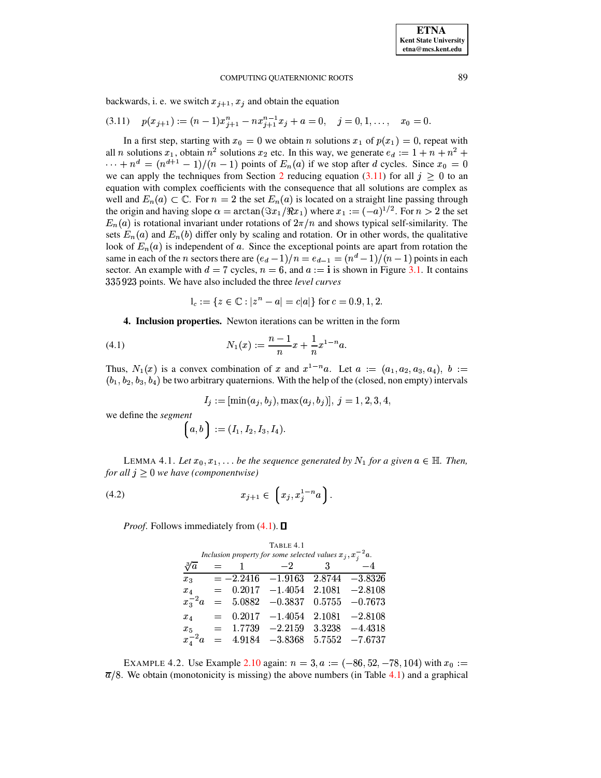backwards, i. e. we switch  $x_{j+1}, x_j$  and obtain the equation

<span id="page-7-0"></span>
$$
(3.11) \quad p(x_{j+1}) := (n-1)x_{j+1}^n - nx_{j+1}^{n-1}x_j + a = 0, \quad j = 0, 1, \ldots, \quad x_0 = 0.
$$

In a first step, starting with  $x_0 = 0$  we obtain *n* solutions  $x_1$  of  $p(x_1) = 0$ , repeat with all *n* solutions  $x_1$ , obtain  $n^2$  solutions  $x_2$  etc. In this way, we generate  $e_d := 1 + n + n^2 +$  $\cdots + n^d = (n^{d+1} - 1)/(n - 1)$  points of  $E_n(a)$  if we stop after d cycles. Since  $x_0 = 0$ we can apply the techniques from Section 2 reducing equation (3.11) for all  $j \geq 0$  to an equation with complex coefficients with the consequence that all solutions are complex as well and  $E_n(a) \subset \mathbb{C}$ . For  $n = 2$  the set  $E_n(a)$  is located on a straight line passing through the origin and having slope  $\alpha = \arctan(\Im x_1/\Re x_1)$  where  $x_1 := (-a)^{1/2}$ . For  $n > 2$  the set  $E_n(a)$  is rotational invariant under rotations of  $2\pi/n$  and shows typical self-similarity. The sets  $E_n(a)$  and  $E_n(b)$  differ only by scaling and rotation. Or in other words, the qualitative look of  $E_n(a)$  is independent of a. Since the exceptional points are apart from rotation the same in each of the *n* sectors there are  $(e_d - 1)/n = e_{d-1} = (n^d - 1)/(n - 1)$  points in each sector. An example with  $d = 7$  cycles,  $n = 6$ , and  $a := i$  is shown in Figure 3.1. It contains 335 923 points. We have also included the three level curves

$$
I_c := \{ z \in \mathbb{C} : |z^n - a| = c|a| \}
$$
 for  $c = 0.9, 1, 2$ .

<span id="page-7-1"></span>4. Inclusion properties. Newton iterations can be written in the form

(4.1) 
$$
N_1(x) := \frac{n-1}{n}x + \frac{1}{n}x^{1-n}a.
$$

Thus,  $N_1(x)$  is a convex combination of x and  $x^{1-n}a$ . Let  $a := (a_1, a_2, a_3, a_4)$ ,  $b :=$  $(b_1, b_2, b_3, b_4)$  be two arbitrary quaternions. With the help of the (closed, non empty) intervals

$$
I_j := [\min(a_j, b_j), \max(a_j, b_j)], j = 1, 2, 3, 4,
$$

we define the segment

$$
\Big({a},{b}\Big)\, := (I_1,I_2,I_3,I_4)
$$

LEMMA 4.1. Let  $x_0, x_1, \ldots$  be the sequence generated by  $N_1$  for a given  $a \in \mathbb{H}$ . Then, for all  $j \geq 0$  we have (componentwise)

(4.2) 
$$
x_{j+1} \in \left(x_j, x_j^{1-n}a\right).
$$

<span id="page-7-2"></span>*Proof.* Follows immediately from  $(4.1)$ .  $\Box$ 

|                                                                   |     |            | TABLE 4. I           |        |                   |  |
|-------------------------------------------------------------------|-----|------------|----------------------|--------|-------------------|--|
| Inclusion property for some selected values $x_j$ , $x_i^{-2}$ a. |     |            |                      |        |                   |  |
| $\sqrt[3]{a}$                                                     |     |            | $-2$                 | 3      | $-4$              |  |
| $x_3$                                                             |     |            | $=-2.2416$ $-1.9163$ |        | $2.8744 - 3.8326$ |  |
| $x_4$                                                             | $=$ |            | $0.2017 - 1.4054$    | 2.1081 | $-2.8108$         |  |
| $x_{3}^{-2}a$                                                     |     | $= 5.0882$ | $-0.3837$            | 0.5755 | $-0.7673$         |  |
| $x_4$                                                             | $=$ |            | $0.2017 - 1.4054$    | 2.1081 | $-2.8108$         |  |
| $x_{5}$                                                           | $=$ | 1.7739     | $-2.2159$            | 3.3238 | $-4.4318$         |  |
| $x_4^{-2}a$                                                       | $=$ | 4.9184     | $-3.8368$            | 5.7552 | $-7.6737$         |  |
|                                                                   |     |            |                      |        |                   |  |

EXAMPLE 4.2. Use Example 2.10 again:  $n = 3$ ,  $a := (-86, 52, -78, 104)$  with  $x_0 :=$  $\overline{a}/8$ . We obtain (monotonicity is missing) the above numbers (in Table 4.1) and a graphical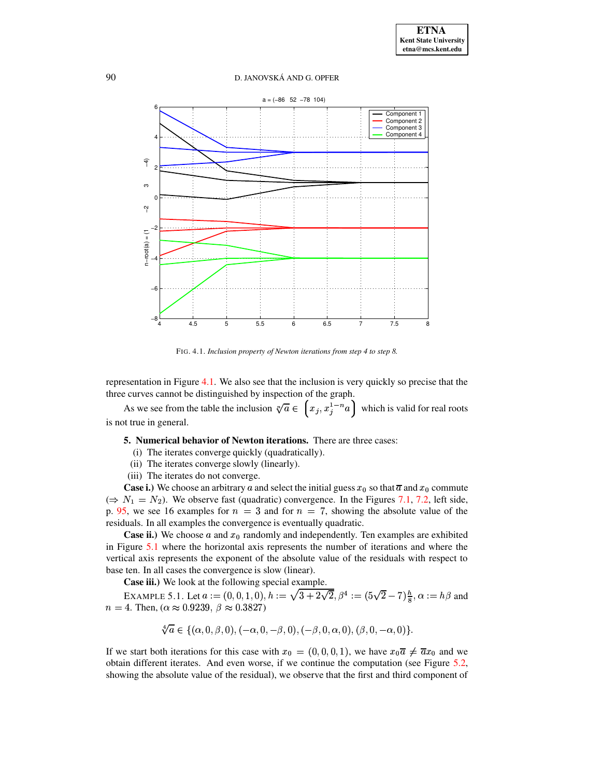

<span id="page-8-0"></span>FIG. 4.1. Inclusion property of Newton iterations from step 4 to step 8.

representation in Figure 4.1. We also see that the inclusion is very quickly so precise that the three curves cannot be distinguished by inspection of the graph.

As we see from the table the inclusion  $\sqrt[n]{a} \in (x_j, x_j^{1-n}a)$  which is valid for real roots is not true in general.

5. Numerical behavior of Newton iterations. There are three cases:

- (i) The iterates converge quickly (quadratically).
- (ii) The iterates converge slowly (linearly).
- (iii) The iterates do not converge.

**Case i.)** We choose an arbitrary a and select the initial guess  $x_0$  so that  $\overline{a}$  and  $x_0$  commute  $(\Rightarrow N_1 = N_2)$ . We observe fast (quadratic) convergence. In the Figures 7.1, 7.2, left side, p. 95, we see 16 examples for  $n = 3$  and for  $n = 7$ , showing the absolute value of the residuals. In all examples the convergence is eventually quadratic.

**Case ii.)** We choose  $a$  and  $x_0$  randomly and independently. Ten examples are exhibited in Figure 5.1 where the horizontal axis represents the number of iterations and where the vertical axis represents the exponent of the absolute value of the residuals with respect to base ten. In all cases the convergence is slow (linear).

Case iii.) We look at the following special example.

EXAMPLE 5.1. Let  $a := (0,0,1,0)$ ,  $h := \sqrt{3 + 2\sqrt{2}}$ ,  $\beta^4 := (5\sqrt{2} - 7)\frac{h}{8}$ ,  $\alpha := h\beta$  and  $n = 4$ . Then, ( $\alpha \approx 0.9239$ ,  $\beta \approx 0.3827$ )

<span id="page-8-1"></span>
$$
\sqrt[4]{a} \in \{(\alpha,0,\beta,0),(-\alpha,0,-\beta,0),(-\beta,0,\alpha,0),(\beta,0,-\alpha,0)\}.
$$

If we start both iterations for this case with  $x_0 = (0,0,0,1)$ , we have  $x_0 \overline{a} \neq \overline{a} x_0$  and we obtain different iterates. And even worse, if we continue the computation (see Figure 5.2, showing the absolute value of the residual), we observe that the first and third component of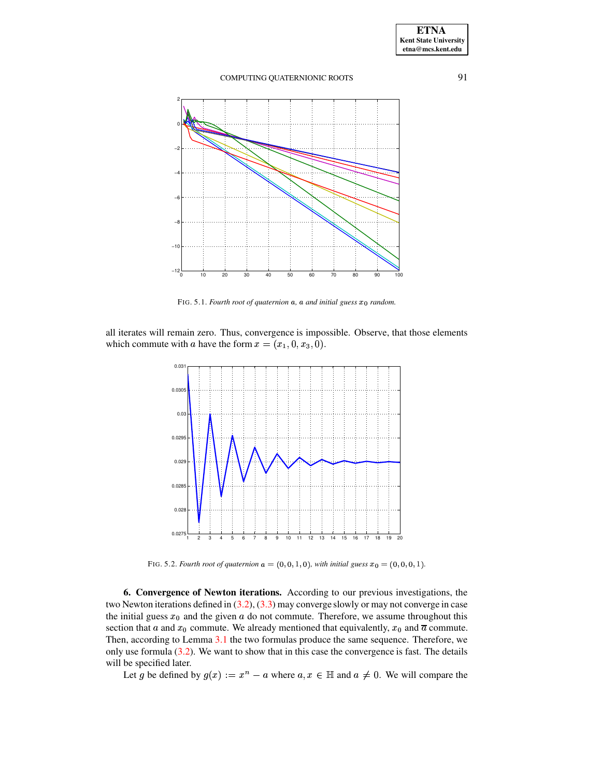

<span id="page-9-0"></span>FIG. 5.1. *Fourth root of quaternion*  $a$ ,  $a$  *and initial guess*  $x_0$  *random.* 

all iterates will remain zero. Thus, convergence is impossible. Observe, that those elements which commute with a have the form  $x = (x_1, 0, x_3, 0)$ .



FIG. 5.2. *Fourth root of quaternion*  $a = (0, 0, 1, 0)$ *, with initial guess*  $x_0 = (0, 0, 0, 1)$ *.* 

<span id="page-9-1"></span>**6. Convergence of Newton iterations.** According to our previous investigations, the two Newton iterations defined in  $(3.2)$ ,  $(3.3)$  may converge slowly or may not converge in case the initial guess  $x_0$  and the given a do not commute. Therefore, we assume throughout this section that a and  $x_0$  commute. We already mentioned that equivalently,  $x_0$  and  $\overline{a}$  commute. Then, according to Lemma [3.1](#page-4-3) the two formulas produce the same sequence. Therefore, we only use formula  $(3.2)$ . We want to show that in this case the convergence is fast. The details will be specified later.

Let g be defined by  $g(x) := x^n - a$  where  $a, x \in \mathbb{H}$  and  $a \neq 0$ . We will compare the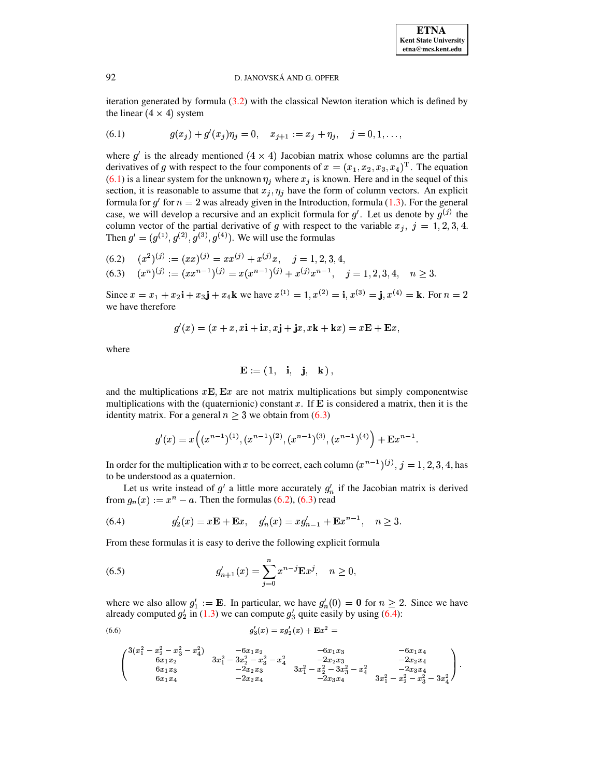iteration generated by formula  $(3.2)$  with the classical Newton iteration which is defined by the linear  $(4 \times 4)$  system

<span id="page-10-0"></span>(6.1) 
$$
g(x_j) + g'(x_j)\eta_j = 0, \quad x_{j+1} := x_j + \eta_j, \quad j = 0, 1, \ldots,
$$

where  $g'$  is the already mentioned  $(4 \times 4)$  Jacobian matrix whose columns are the partial derivatives of g with respect to the four components of  $x = (x_1, x_2, x_3, x_4)^T$ . The equation (6.1) is a linear system for the unknown  $\eta_j$  where  $x_j$  is known. Here and in the sequel of this section, it is reasonable to assume that  $x_j, \eta_j$  have the form of column vectors. An explicit formula for  $g'$  for  $n = 2$  was already given in the Introduction, formula (1.3). For the general case, we will develop a recursive and an explicit formula for  $g'$ . Let us denote by  $g^{(j)}$  the column vector of the partial derivative of g with respect to the variable  $x_j$ ,  $j = 1, 2, 3, 4$ . Then  $g' = (g^{(1)}, g^{(2)}, g^{(3)}, g^{(4)})$ . We will use the formulas

<span id="page-10-1"></span>(6.2) 
$$
(x^2)^{(j)} := (xx)^{(j)} = xx^{(j)} + x^{(j)}x
$$
,  $j = 1, 2, 3, 4$ ,  
\n(6.3)  $(x^n)^{(j)} := (xx^{n-1})^{(j)} = x(x^{n-1})^{(j)} + x^{(j)}x^{n-1}$ ,  $j = 1, 2, 3, 4$ ,  $n \ge 3$ .

Since  $x = x_1 + x_2$ **i** +  $x_3$ **j** +  $x_4$ **k** we have  $x^{(1)} = 1, x^{(2)} =$ **i**,  $x^{(3)} =$ **j**,  $x^{(4)} =$ **k**. For  $n = 2$ we have therefore

$$
g'(x) = (x + x, x\mathbf{i} + \mathbf{i}x, x\mathbf{j} + \mathbf{j}x, x\mathbf{k} + \mathbf{k}x) = x\mathbf{E} + \mathbf{E}x
$$

where

$$
\mathbf{E} := (1, \mathbf{i}, \mathbf{j}, \mathbf{k}),
$$

and the multiplications  $xE$ ,  $Ex$  are not matrix multiplications but simply componentwise multiplications with the (quaternionic) constant x. If  $\bf{E}$  is considered a matrix, then it is the identity matrix. For a general  $n \geq 3$  we obtain from (6.3)

$$
g'(x) = x((x^{n-1})^{(1)}, (x^{n-1})^{(2)}, (x^{n-1})^{(3)}, (x^{n-1})^{(4)}) + \mathbf{E}x^{n-1}.
$$

In order for the multiplication with x to be correct, each column  $(x^{n-1})^{(j)}$ ,  $j = 1, 2, 3, 4$ , has to be understood as a quaternion.

Let us write instead of  $g'$  a little more accurately  $g'_n$  if the Jacobian matrix is derived from  $g_n(x) := x^n - a$ . Then the formulas (6.2), (6.3) read

<span id="page-10-2"></span>(6.4) 
$$
g'_{2}(x) = x\mathbf{E} + \mathbf{E}x, \quad g'_{n}(x) = xg'_{n-1} + \mathbf{E}x^{n-1}, \quad n \ge 3.
$$

From these formulas it is easy to derive the following explicit formula

<span id="page-10-4"></span>(6.5) 
$$
g'_{n+1}(x) = \sum_{j=0}^{n} x^{n-j} \mathbf{E} x^j, \quad n \ge 0,
$$

where we also allow  $g'_1 := \mathbf{E}$ . In particular, we have  $g'_n(0) = 0$  for  $n \ge 2$ . Since we have already computed  $g'_2$  in (1.3) we can compute  $g'_3$  quite easily by using (6.4):

(6.6) 
$$
g_3'(x) = x g_2'(x) + \mathbf{E} x^2 =
$$

<span id="page-10-3"></span>
$$
\left(\begin{matrix}3(x_1^2-x_2^2-x_3^2-x_4^2)&-6x_1x_2&-6x_1x_3&-6x_1x_4\\6x_1x_2&3x_1^2-3x_2^2-x_3^2-x_4^2&-2x_2x_3&-2x_2x_4\\6x_1x_3&-2x_2x_3&3x_1^2-x_2^2-3x_3^2-x_4^2&-2x_3x_4\\6x_1x_4&-2x_2x_4&-2x_3x_4&3x_1^2-x_2^2-x_3^2-3x_4^2\end{matrix}\right)
$$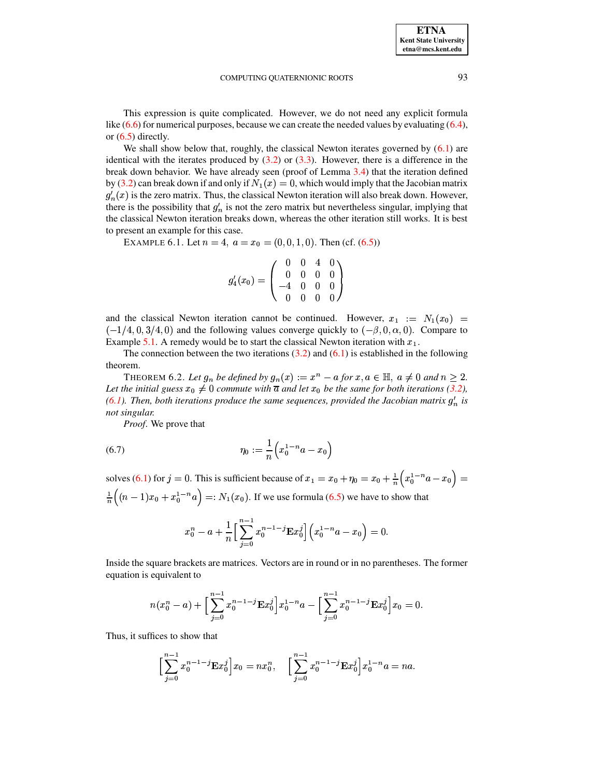93

This expression is quite complicated. However, we do not need any explicit formula like  $(6.6)$  for numerical purposes, because we can create the needed values by evaluating  $(6.4)$ , or  $(6.5)$  directly.

We shall show below that, roughly, the classical Newton iterates governed by  $(6.1)$  are identical with the iterates produced by  $(3.2)$  or  $(3.3)$ . However, there is a difference in the break down behavior. We have already seen (proof of Lemma 3.4) that the iteration defined by (3.2) can break down if and only if  $N_1(x) = 0$ , which would imply that the Jacobian matrix  $g'_n(x)$  is the zero matrix. Thus, the classical Newton iteration will also break down. However, there is the possibility that  $g'_n$  is not the zero matrix but nevertheless singular, implying that the classical Newton iteration breaks down, whereas the other iteration still works. It is best to present an example for this case.

EXAMPLE 6.1. Let  $n = 4$ ,  $a = x_0 = (0, 0, 1, 0)$ . Then (cf. (6.5))

$$
g_4'(x_0) = \begin{pmatrix} 0 & 0 & 4 & 0 \\ 0 & 0 & 0 & 0 \\ -4 & 0 & 0 & 0 \\ 0 & 0 & 0 & 0 \end{pmatrix}
$$

and the classical Newton iteration cannot be continued. However,  $x_1 := N_1(x_0)$  $(-1/4, 0, 3/4, 0)$  and the following values converge quickly to  $(-\beta, 0, \alpha, 0)$ . Compare to Example 5.1. A remedy would be to start the classical Newton iteration with  $x_1$ .

The connection between the two iterations  $(3.2)$  and  $(6.1)$  is established in the following theorem.

THEOREM 6.2. Let  $g_n$  be defined by  $g_n(x) := x^n - a$  for  $x, a \in \mathbb{H}$ ,  $a \neq 0$  and  $n \geq 2$ . Let the initial guess  $x_0 \neq 0$  commute with  $\overline{a}$  and let  $x_0$  be the same for both iterations (3.2), (6.1). Then, both iterations produce the same sequences, provided the Jacobian matrix  $g'_n$  is not singular.

*Proof.* We prove that

(6.7) 
$$
\eta_0 := \frac{1}{n} \left( x_0^{1-n} a - x_0 \right)
$$

solves (6.1) for  $j = 0$ . This is sufficient because of  $x_1 = x_0 + \eta_0 = x_0 + \frac{1}{n} \left( x_0^{1-n} a - x_0 \right) =$  $\frac{1}{n}\left((n-1)x_0 + x_0^{1-n}a\right) =: N_1(x_0).$  If we use formula (6.5) we have to show that

$$
x_0^n - a + \frac{1}{n} \left[ \sum_{j=0}^{n-1} x_0^{n-1-j} \mathbf{E} x_0^j \right] \left( x_0^{1-n} a - x_0 \right) = 0
$$

Inside the square brackets are matrices. Vectors are in round or in no parentheses. The former equation is equivalent to

$$
n(x_0^n - a) + \Big[\sum_{j=0}^{n-1} x_0^{n-1-j} \mathbf{E} x_0^j\Big] x_0^{1-n} a - \Big[\sum_{j=0}^{n-1} x_0^{n-1-j} \mathbf{E} x_0^j\Big] x_0 = 0.
$$

Thus, it suffices to show that

$$
\bigg[\sum_{j=0}^{n-1} x_0^{n-1-j} \mathbf{E} x_0^j\bigg] x_0 = nx_0^n, \quad \bigg[\sum_{j=0}^{n-1} x_0^{n-1-j} \mathbf{E} x_0^j\bigg] x_0^{1-n} a = na.
$$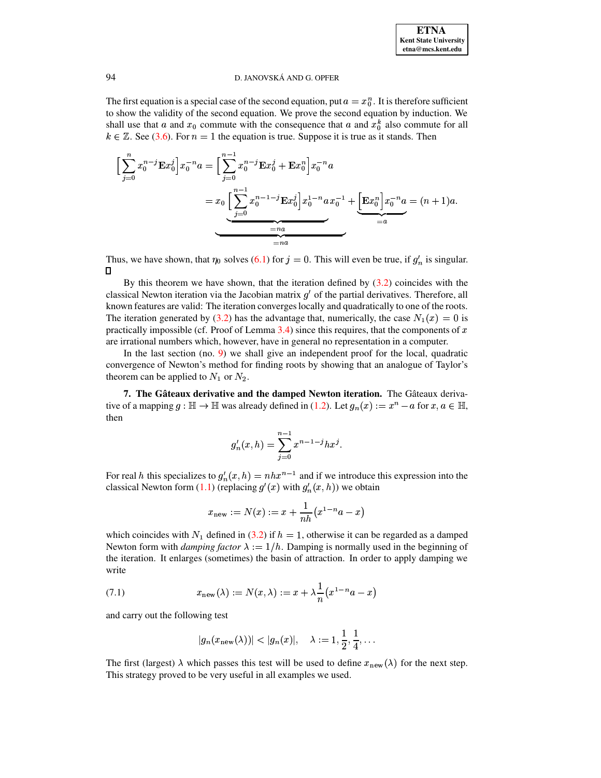The first equation is a special case of the second equation, put  $a = x_0^n$ . It is therefore sufficient to show the validity of the second equation. We prove the second equation by induction. We shall use that a and  $x_0$  commute with the consequence that a and  $x_0^k$  also commute for all  $k \in \mathbb{Z}$ . See [\(3.6\)](#page-5-2). For  $n = 1$  the equation is true. Suppose it is true as it stands. Then

$$
\left[\sum_{j=0}^{n} x_0^{n-j} \mathbf{E} x_0^j \right] x_0^{-n} a = \left[\sum_{j=0}^{n-1} x_0^{n-j} \mathbf{E} x_0^j + \mathbf{E} x_0^n \right] x_0^{-n} a
$$
  
=  $x_0 \left[\sum_{j=0}^{n-1} x_0^{n-1-j} \mathbf{E} x_0^j \right] x_0^{1-n} a x_0^{-1} + \underbrace{\left[\mathbf{E} x_0^n \right] x_0^{-n} a}_{=a} = (n+1) a.$ 

Thus, we have shown, that  $\eta_0$  solves [\(6.1\)](#page-10-0) for  $j = 0$ . This will even be true, if  $g'_n$  is singular.  $\Box$ 

By this theorem we have shown, that the iteration defined by [\(3.2\)](#page-4-1) coincides with the classical Newton iteration via the Jacobian matrix  $g'$  of the partial derivatives. Therefore, all known features are valid: The iteration converges locally and quadratically to one of the roots. The iteration generated by [\(3.2\)](#page-4-1) has the advantage that, numerically, the case  $N_1(x) = 0$  is practically impossible (cf. Proof of Lemma [3.4\)](#page-6-1) since this requires, that the components of  $x$ are irrational numbers which, however, have in general no representation in a computer.

In the last section (no. [9\)](#page-15-0) we shall give an independent proof for the local, quadratic convergence of Newton's method for finding roots by showing that an analogue of Taylor's theorem can be applied to  $N_1$  or  $N_2$ .

**7.** The Gâteaux derivative and the damped Newton iteration. The Gâteaux derivative of a mapping  $g : \mathbb{H} \to \mathbb{H}$  was already defined in [\(1.2\)](#page-1-4). Let  $g_n(x) := x^n - a$  for  $x, a \in \mathbb{H}$ , then

$$
g'_n(x,h) = \sum_{j=0}^{n-1} x^{n-1-j} h x^j.
$$

For real h this specializes to  $g'_n(x, h) = nhx^{n-1}$  and if we introduce this expression into the classical Newton form [\(1.1\)](#page-0-0) (replacing  $g'(x)$  with  $g'_n(x,h)$ ) we obtain

$$
x_{\rm new}:=N(x):=x+\frac{1}{nh}\big(x^{1-n}a-x\big)
$$

which coincides with  $N_1$  defined in [\(3.2\)](#page-4-1) if  $h = 1$ , otherwise it can be regarded as a damped Newton form with *damping factor*  $\lambda := 1/h$ . Damping is normally used in the beginning of the iteration. It enlarges (sometimes) the basin of attraction. In order to apply damping we write

<span id="page-12-0"></span>(7.1) 
$$
x_{\text{new}}(\lambda) := N(x, \lambda) := x + \lambda \frac{1}{n} (x^{1-n} a - x)
$$

and carry out the following test

$$
|g_n(x_{\rm new}(\lambda))| < |g_n(x)|, \quad \lambda := 1, \frac{1}{2}, \frac{1}{4}, \ldots
$$

The first (largest)  $\lambda$  which passes this test will be used to define  $x_{\text{new}}(\lambda)$  for the next step. This strategy proved to be very useful in all examples we used.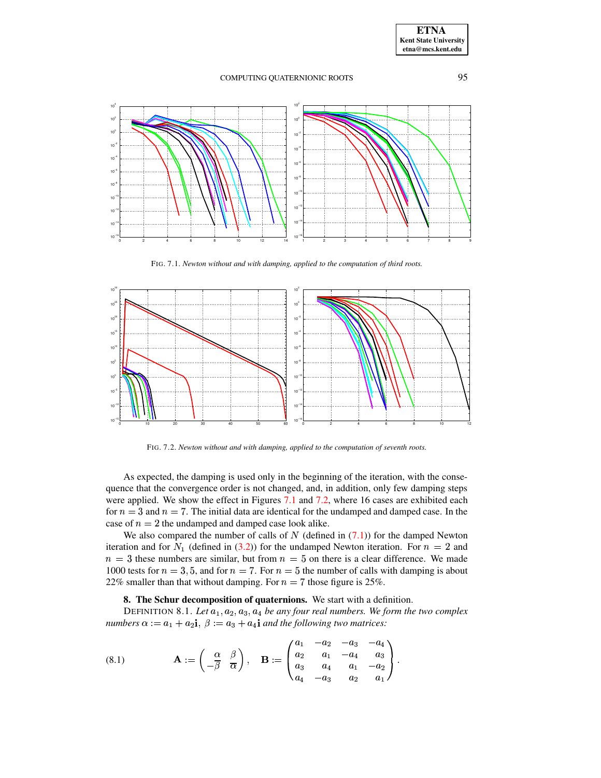

FIG. 7.1. *Newton without and with damping, applied to the computation of third roots.*

<span id="page-13-0"></span>

FIG. 7.2. *Newton without and with damping, applied to the computation of seventh roots.*

<span id="page-13-1"></span>As expected, the damping is used only in the beginning of the iteration, with the consequence that the convergence order is not changed, and, in addition, only few damping steps were applied. We show the effect in Figures [7.1](#page-13-0) and [7.2,](#page-13-1) where 16 cases are exhibited each for  $n=3$  and  $n=7$ . The initial data are identical for the undamped and damped case. In the case of  $n = 2$  the undamped and damped case look alike.

We also compared the number of calls of  $N$  (defined in  $(7.1)$ ) for the damped Newton iteration and for  $N_1$  (defined in [\(3.2\)](#page-4-1)) for the undamped Newton iteration. For  $n=2$  and  $n = 3$  these numbers are similar, but from  $n = 5$  on there is a clear difference. We made 1000 tests for  $n=3,5$ , and for  $n=7$ . For  $n=5$  the number of calls with damping is about 22% smaller than that without damping. For  $n = 7$  those figure is 25%.

# **8. The Schur decomposition of quaternions.** We start with a definition.

DEFINITION 8.1. Let  $a_1, a_2, a_3, a_4$  be any four real numbers. We form the two complex numbers  $\alpha := a_1 + a_2$ **i**,  $\beta := a_3 + a_4$ **i** and the following two matrices:

<span id="page-13-2"></span>(8.1) 
$$
\mathbf{A} := \begin{pmatrix} \alpha & \beta \\ -\overline{\beta} & \overline{\alpha} \end{pmatrix}, \quad \mathbf{B} := \begin{pmatrix} a_1 & -a_2 & -a_3 & -a_4 \\ a_2 & a_1 & -a_4 & a_3 \\ a_3 & a_4 & a_1 & -a_2 \\ a_4 & -a_3 & a_2 & a_1 \end{pmatrix}.
$$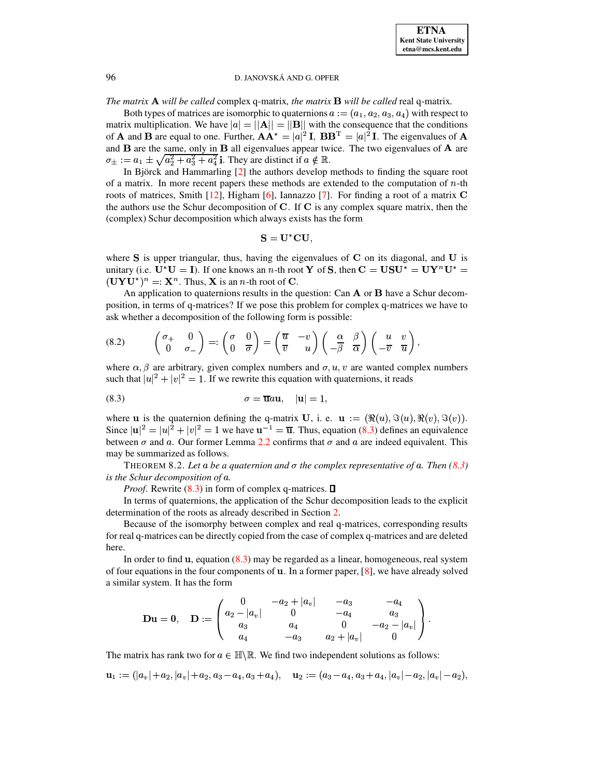*The matrix* **A** will be called complex q-matrix, the matrix **B** will be called real q-matrix.

Both types of matrices are isomorphic to quaternions  $a := (a_1, a_2, a_3, a_4)$  with respect to matrix multiplication. We have  $|\mathbf{a}| = ||\mathbf{A}|| = ||\mathbf{B}||$  with the consequence that the conditions of **A** and **B** are equal to one. Further,  $AA^* = |a|^2 I$ ,  $BB^T = |a|^2 I$ . The eigenvalues of **A** and  $\bf{B}$  are the same, only in  $\bf{B}$  all eigenvalues appear twice. The two eigenvalues of  $\bf{A}$  are  $\sigma_{\pm} := a_1 \pm \sqrt{a_2^2 + a_3^2 + a_4^2}$  i. They are distinct if  $a \notin \mathbb{R}$ .

In Björck and Hammarling [\[2\]](#page-20-8) the authors develop methods to finding the square root of a matrix. In more recent papers these methods are extended to the computation of  $n$ -th roots of matrices, Smith  $[12]$ , Higham [\[6\]](#page-20-9), Iannazzo [\[7\]](#page-20-10). For finding a root of a matrix C the authors use the Schur decomposition of  $C$ . If  $C$  is any complex square matrix, then the (complex) Schur decomposition which always exists has the form

$$
\mathbf{S} = \mathbf{U}^* \mathbf{C} \mathbf{U},
$$

where S is upper triangular, thus, having the eigenvalues of C on its diagonal, and U is unitary (i.e.  $\mathbf{U}^* \mathbf{U} = \mathbf{I}$ ). If one knows an n-th root **Y** of **S**, then  $\mathbf{C} = \mathbf{U} \mathbf{S} \mathbf{U}^* = \mathbf{U} \mathbf{Y}^n \mathbf{U}^* = \mathbf{V} \mathbf{V}$  $(\mathbf{UYU^*})^n =: \mathbf{X}^n$ . Thus, **X** is an *n*-th root of **C**.

An application to quaternions results in the question: Can  $A$  or  $B$  have a Schur decomposition, in terms of q-matrices? If we pose this problem for complex q-matrices we have to ask whether a decomposition of the following form is possible:

<span id="page-14-1"></span>(8.2) 
$$
\begin{pmatrix} \sigma_+ & 0 \\ 0 & \sigma_- \end{pmatrix} =: \begin{pmatrix} \sigma & 0 \\ 0 & \overline{\sigma} \end{pmatrix} = \begin{pmatrix} \overline{u} & -v \\ \overline{v} & u \end{pmatrix} \begin{pmatrix} \alpha & \beta \\ -\overline{\beta} & \overline{\alpha} \end{pmatrix} \begin{pmatrix} u & v \\ -\overline{v} & \overline{u} \end{pmatrix},
$$

where  $\alpha, \beta$  are arbitrary, given complex numbers and  $\sigma, u, v$  are wanted complex numbers such that  $|u|^2 + |v|^2 = 1$ . If we rewrite this equation with quaternions, it reads

<span id="page-14-0"></span>
$$
\sigma = \overline{\mathbf{u}} a \mathbf{u}, \quad |\mathbf{u}| = 1,
$$

where **u** is the quaternion defining the q-matrix **U**, i. e. **u** :=  $(\Re(u), \Im(u), \Re(v), \Im(v))$ . Since  $|u|^2 = |u|^2 + |v|^2 = 1$  we have  $u^{-1} = \overline{u}$ . Thus, equation [\(8.3\)](#page-14-0) defines an equivalence between  $\sigma$  and a. Our former Lemma [2.2](#page-2-3) confirms that  $\sigma$  and a are indeed equivalent. This may be summarized as follows.

THEOREM 8.2. Let a be a quaternion and  $\sigma$  the complex representative of a. Then [\(8.3\)](#page-14-0) *is the Schur decomposition of a*.

*Proof.* Rewrite  $(8.3)$  in form of complex q-matrices.  $\Box$ 

In terms of quaternions, the application of the Schur decomposition leads to the explicit determination of the roots as already described in Section [2.](#page-1-2)

Because of the isomorphy between complex and real q-matrices, corresponding results for real q-matrices can be directly copied from the case of complex q-matrices and are deleted here.

In order to find  $\bf{u}$ , equation [\(8.3\)](#page-14-0) may be regarded as a linear, homogeneous, real system of four equations in the four components of  $\bf{u}$ . In a former paper, [\[8\]](#page-20-11), we have already solved a similar system. It has the form

$$
\mathbf{D} \mathbf{u} = \mathbf{0}, \quad \mathbf{D} := \left( \begin{array}{cccc} 0 & -a_2 + |a_v| & -a_3 & -a_4 \\ a_2 - |a_v| & 0 & -a_4 & a_3 \\ a_3 & a_4 & 0 & -a_2 - |a_v| \\ a_4 & -a_3 & a_2 + |a_v| & 0 \end{array} \right).
$$

The matrix has rank two for  $a \in \mathbb{H} \setminus \mathbb{R}$ . We find two independent solutions as follows:

 $z = 1 + \sqrt{|w_0| + |w_2| + |w_3| + |w_4| + |w_5| + |w_6| + |w_7| + |w_8| + |w_9| + |w_9| + |w_1| + |w_2| + |w_3| + |w_4| + |w_5| + |w_6| + |w_7| + |w_9| + |w_1| + |w_2| + |w_3| + |w_4| + |w_5| + |w_6| + |w_7| + |w_7| + |w_8| + |w_9| + |w_1| + |w_2| + |w_3| + |w_4| + |w_5| + |w_6| + |w_7| + |w_$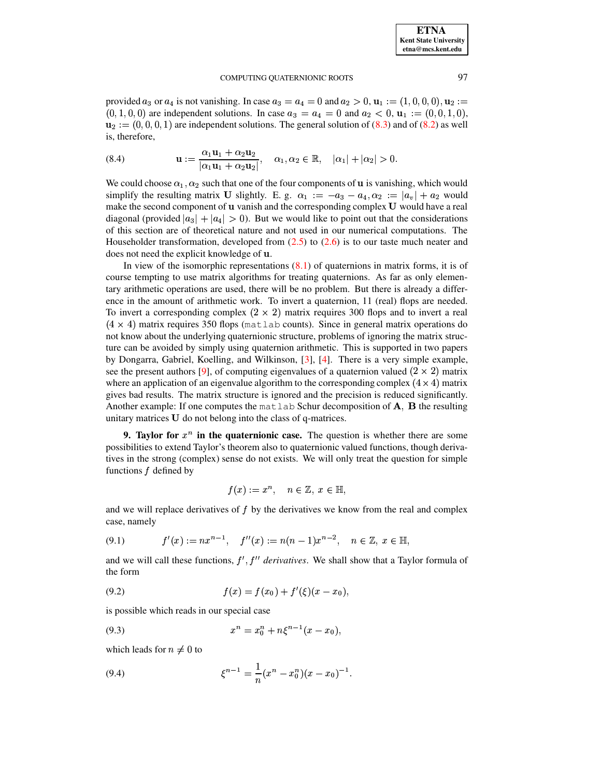provided  $a_3$  or  $a_4$  is not vanishing. In case  $a_3 = a_4 = 0$  and  $a_2 > 0$ ,  $\mathbf{u}_1 := (1, 0, 0, 0)$ ,  $\mathbf{u}_2 :=$  $(0, 1, 0, 0)$  are independent solutions. In case  $a_3 = a_4 = 0$  and  $a_2 < 0$ ,  $u_1 := (0, 0, 1, 0)$ ,  $\mathbf{u}_2 := (0, 0, 0, 1)$  are independent solutions. The general solution of [\(8.3\)](#page-14-0) and of [\(8.2\)](#page-14-1) as well is, therefore,

(8.4) 
$$
\mathbf{u} := \frac{\alpha_1 \mathbf{u}_1 + \alpha_2 \mathbf{u}_2}{|\alpha_1 \mathbf{u}_1 + \alpha_2 \mathbf{u}_2|}, \quad \alpha_1, \alpha_2 \in \mathbb{R}, \quad |\alpha_1| + |\alpha_2| > 0.
$$

We could choose  $\alpha_1, \alpha_2$  such that one of the four components of **u** is vanishing, which would simplify the resulting matrix U slightly. E. g.  $\alpha_1 := -a_3 - a_4, \alpha_2 := |a_v| + a_2$  would make the second component of u vanish and the corresponding complex U would have a real diagonal (provided  $|a_3| + |a_4| > 0$ ). But we would like to point out that the considerations of this section are of theoretical nature and not used in our numerical computations. The Householder transformation, developed from  $(2.5)$  to  $(2.6)$  is to our taste much neater and does not need the explicit knowledge of  $\bf{u}$ .

In view of the isomorphic representations  $(8.1)$  of quaternions in matrix forms, it is of course tempting to use matrix algorithms for treating quaternions. As far as only elementary arithmetic operations are used, there will be no problem. But there is already a difference in the amount of arithmetic work. To invert a quaternion, 11 (real) flops are needed. To invert a corresponding complex  $(2 \times 2)$  matrix requires 300 flops and to invert a real  $(4 \times 4)$  matrix requires 350 flops (matlab counts). Since in general matrix operations do not know about the underlying quaternionic structure, problems of ignoring the matrix structure can be avoided by simply using quaternion arithmetic. This is supported in two papers by Dongarra, Gabriel, Koelling, and Wilkinson, [\[3\]](#page-20-12), [\[4\]](#page-20-13). There is a very simple example, see the present authors [\[9\]](#page-20-14), of computing eigenvalues of a quaternion valued  $(2 \times 2)$  matrix where an application of an eigenvalue algorithm to the corresponding complex  $(4 \times 4)$  matrix gives bad results. The matrix structure is ignored and the precision is reduced significantly. Another example: If one computes the matlab Schur decomposition of  $A$ ,  $B$  the resulting unitary matrices  $U$  do not belong into the class of q-matrices.

<span id="page-15-0"></span>**9. Taylor** for  $x^n$  in the quaternionic case. The question is whether there are some possibilities to extend Taylor's theorem also to quaternionic valued functions, though derivatives in the strong (complex) sense do not exists. We will only treat the question for simple functions  $f$  defined by

$$
f(x) := x^n, \quad n \in \mathbb{Z}, \ x \in \mathbb{H},
$$

and we will replace derivatives of  $f$  by the derivatives we know from the real and complex case, namely

<span id="page-15-3"></span>
$$
(9.1) \t f'(x) := nx^{n-1}, \t f''(x) := n(n-1)x^{n-2}, \t n \in \mathbb{Z}, x \in \mathbb{H},
$$

and we will call these functions,  $f<sup>t</sup>$ ,  $f<sup>tt</sup>$  derivatives. We shall show that a Taylor formula of the form

<span id="page-15-1"></span>(9.2) 
$$
f(x) = f(x_0) + f'(\xi)(x - x_0),
$$

is possible which reads in our special case

(9.3) 
$$
x^n = x_0^n + n\xi^{n-1}(x - x_0),
$$

which leads for  $n \neq 0$  to

<span id="page-15-2"></span>(9.4) 
$$
\xi^{n-1} = \frac{1}{n}(x^n - x_0^n)(x - x_0)^{-1}.
$$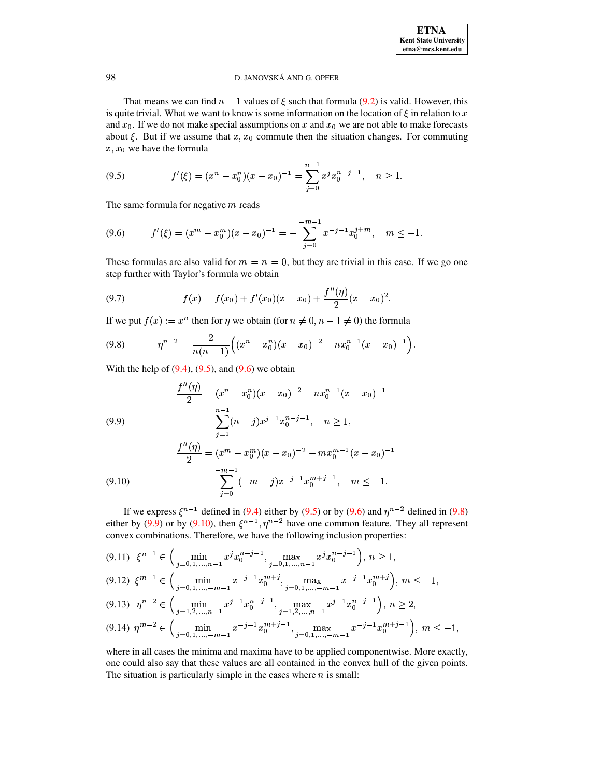That means we can find  $n-1$  values of  $\xi$  such that formula (9.2) is valid. However, this is quite trivial. What we want to know is some information on the location of  $\xi$  in relation to x and  $x_0$ . If we do not make special assumptions on x and  $x_0$  we are not able to make forecasts about  $\xi$ . But if we assume that  $x, x_0$  commute then the situation changes. For commuting  $x, x_0$  we have the formula

<span id="page-16-0"></span>(9.5) 
$$
f'(\xi) = (x^n - x_0^n)(x - x_0)^{-1} = \sum_{j=0}^{n-1} x^j x_0^{n-j-1}, \quad n \ge 1.
$$

The same formula for negative  $m$  reads

<span id="page-16-1"></span>
$$
(9.6) \t f'(\xi) = (x^m - x_0^m)(x - x_0)^{-1} = -\sum_{j=0}^{-m-1} x^{-j-1} x_0^{j+m}, \quad m \le -1.
$$

These formulas are also valid for  $m = n = 0$ , but they are trivial in this case. If we go one step further with Taylor's formula we obtain

<span id="page-16-5"></span>(9.7) 
$$
f(x) = f(x_0) + f'(x_0)(x - x_0) + \frac{f''(\eta)}{2}(x - x_0)^2.
$$

If we put  $f(x) := x^n$  then for  $\eta$  we obtain (for  $n \neq 0, n - 1 \neq 0$ ) the formula

<span id="page-16-2"></span>
$$
(9.8) \hspace{1cm} \eta^{n-2} = \frac{2}{n(n-1)} \Big( (x^n - x_0^n)(x - x_0)^{-2} - nx_0^{n-1}(x - x_0)^{-1} \Big).
$$

With the help of  $(9.4)$ ,  $(9.5)$ , and  $(9.6)$  we obtain

<span id="page-16-3"></span>(9.9)  
\n
$$
\frac{f''(\eta)}{2} = (x^n - x_0^n)(x - x_0)^{-2} - nx_0^{n-1}(x - x_0)^{-1}
$$
\n
$$
= \sum_{j=1}^{n-1} (n-j)x^{j-1}x_0^{n-j-1}, \quad n \ge 1,
$$
\n
$$
\frac{f''(\eta)}{2} = (x^m - x_0^m)(x - x_0)^{-2} - mx_0^{m-1}(x - x_0)^{-1}
$$
\n
$$
= \sum_{j=0}^{-m-1} (-m-j)x^{-j-1}x_0^{m+j-1}, \quad m \le -1.
$$

If we express  $\xi^{n-1}$  defined in (9.4) either by (9.5) or by (9.6) and  $\eta^{n-2}$  defined in (9.8) either by (9.9) or by (9.10), then  $\xi^{n-1}$ ,  $\eta^{n-2}$  have one common feature. They all represent convex combinations. Therefore, we have the following inclusion properties:

<span id="page-16-4"></span>
$$
(9.11) \quad \xi^{n-1} \in \Big(\min_{j=0,1,\dots,n-1} x^j x_0^{n-j-1}, \max_{j=0,1,\dots,n-1} x^j x_0^{n-j-1}\Big), \ n \ge 1,
$$

$$
(9.12) \ \xi^{m-1} \in \left( \min_{j=0,1,\dots,-m-1} x^{-j-1} x_0^{m+j}, \max_{j=0,1,\dots,-m-1} x^{-j-1} x_0^{m+j} \right), \ m \le -1,
$$
\n
$$
(9.12) \ \ x_{n-2}^{n-2} \in \left( \dots, \frac{i-1}{n-1} \frac{n-i-1}{n-i-1}, \frac{i-1}{n-1} \frac{n-i-1}{n-i-1} \right) \ge 0.
$$

$$
(9.13) \ \eta^{n-2} \in \Big(\min_{j=1,2,\dots,n-1} x^{j-1} x_0^{n-j-1}, \max_{j=1,2,\dots,n-1} x^{j-1} x_0^{n-j-1}\Big), \ n \ge 2,
$$

$$
(9.14) \ \eta^{m-2} \in \Big(\min_{j=0,1,\dots,-m-1} x^{-j-1} x_0^{m+j-1}, \max_{j=0,1,\dots,-m-1} x^{-j-1} x_0^{m+j-1}\Big), \ m \le -1,
$$

where in all cases the minima and maxima have to be applied componentwise. More exactly, one could also say that these values are all contained in the convex hull of the given points. The situation is particularly simple in the cases where  $n$  is small: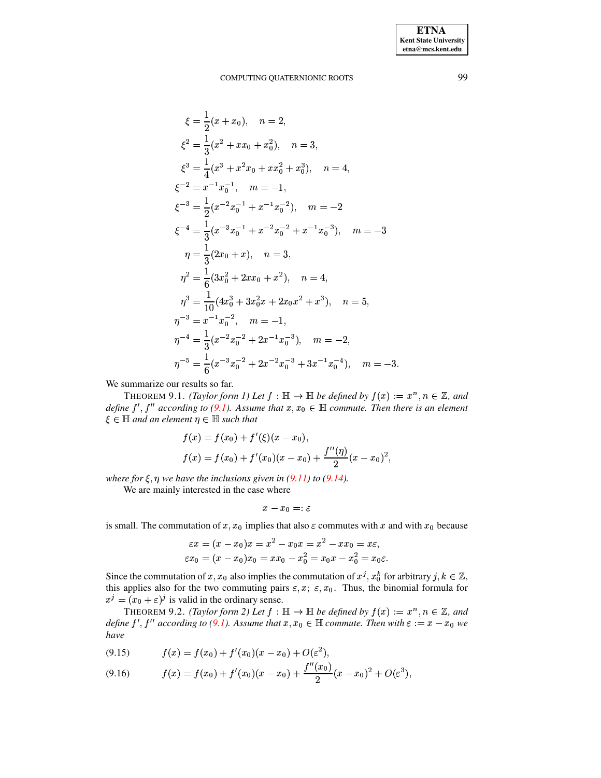$$
\xi = \frac{1}{2}(x + x_0), \quad n = 2,
$$
  
\n
$$
\xi^2 = \frac{1}{3}(x^2 + x x_0 + x_0^2), \quad n = 3,
$$
  
\n
$$
\xi^3 = \frac{1}{4}(x^3 + x^2 x_0 + x x_0^2 + x_0^3), \quad n = 4,
$$
  
\n
$$
\xi^{-2} = x^{-1} x_0^{-1}, \quad m = -1,
$$
  
\n
$$
\xi^{-3} = \frac{1}{2}(x^{-2} x_0^{-1} + x^{-1} x_0^{-2}), \quad m = -2
$$
  
\n
$$
\xi^{-4} = \frac{1}{3}(x^{-3} x_0^{-1} + x^{-2} x_0^{-2} + x^{-1} x_0^{-3}), \quad m = -3
$$
  
\n
$$
\eta = \frac{1}{3}(2x_0 + x), \quad n = 3,
$$
  
\n
$$
\eta^2 = \frac{1}{6}(3x_0^2 + 2x x_0 + x^2), \quad n = 4,
$$
  
\n
$$
\eta^3 = \frac{1}{10}(4x_0^3 + 3x_0^2 x + 2x_0 x^2 + x^3), \quad n = 5,
$$
  
\n
$$
\eta^{-3} = x^{-1} x_0^{-2}, \quad m = -1,
$$
  
\n
$$
\eta^{-4} = \frac{1}{3}(x^{-2} x_0^{-2} + 2x^{-1} x_0^{-3}), \quad m = -2,
$$
  
\n
$$
\eta^{-5} = \frac{1}{6}(x^{-3} x_0^{-2} + 2x^{-2} x_0^{-3} + 3x^{-1} x_0^{-4}), \quad m = -3.
$$

<span id="page-17-0"></span>We summarize our results so far.

THEOREM 9.1. (Taylor form 1) Let  $f : \mathbb{H} \to \mathbb{H}$  be defined by  $f(x) := x^n, n \in \mathbb{Z}$ , and define  $f', f''$  according to (9.1). Assume that  $x, x_0 \in \mathbb{H}$  commute. Then there is an element  $\xi \in \mathbb{H}$  and an element  $\eta \in \mathbb{H}$  such that

$$
f(x) = f(x_0) + f'(\xi)(x - x_0),
$$
  
\n
$$
f(x) = f(x_0) + f'(x_0)(x - x_0) + \frac{f''(\eta)}{2}(x - x_0)^2,
$$

where for  $\xi$ ,  $\eta$  we have the inclusions given in (9.11) to (9.14).

We are mainly interested in the case where

$$
x-x_0=:\varepsilon
$$

is small. The commutation of x, x<sub>0</sub> implies that also  $\varepsilon$  commutes with x and with x<sub>0</sub> because

<span id="page-17-1"></span>
$$
\varepsilon x=(x-x_0)x=x^2-x_0x=x^2-xx_0=x\varepsilon,\\ \varepsilon x_0=(x-x_0)x_0=xx_0-x_0^2=x_0x-x_0^2=x_0\varepsilon
$$

Since the commutation of x,  $x_0$  also implies the commutation of  $x^j$ ,  $x_0^k$  for arbitrary  $j, k \in \mathbb{Z}$ , this applies also for the two commuting pairs  $\varepsilon$ ,  $x$ ;  $\varepsilon$ ,  $x_0$ . Thus, the binomial formula for  $x^j = (x_0 + \varepsilon)^j$  is valid in the ordinary sense.

THEOREM 9.2. (Taylor form 2) Let  $f : \mathbb{H} \to \mathbb{H}$  be defined by  $f(x) := x^n, n \in \mathbb{Z}$ , and define  $f', f''$  according to (9.1). Assume that  $x, x_0 \in \mathbb{H}$  commute. Then with  $\varepsilon := x - x_0$  we have

$$
(9.15) \t f(x) = f(x_0) + f'(x_0)(x - x_0) + O(\varepsilon^2),
$$

$$
(9.16) \t f(x) = f(x_0) + f'(x_0)(x - x_0) + \frac{f''(x_0)}{2}(x - x_0)^2 + O(\varepsilon^3),
$$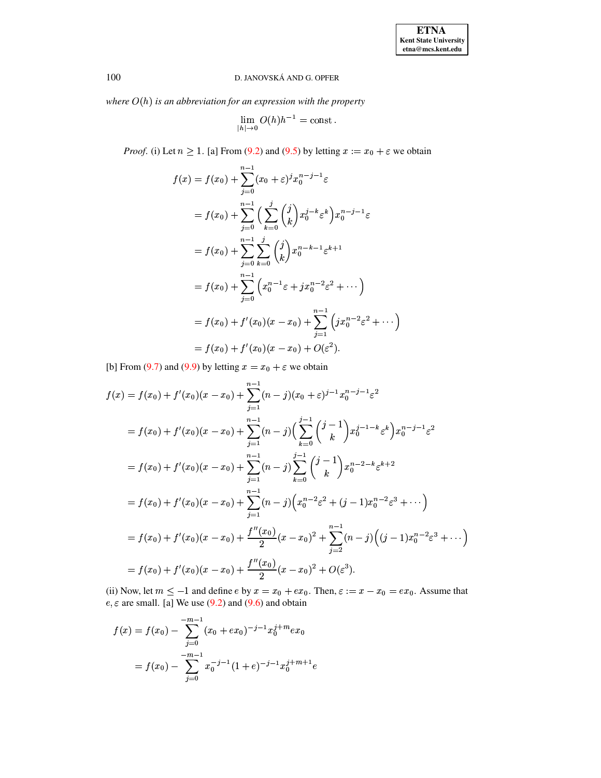where  $O(h)$  is an abbreviation for an expression with the property

$$
\lim_{|h| \to 0} O(h)h^{-1} = \text{const.}
$$

*Proof.* (i) Let  $n \ge 1$ . [a] From (9.2) and (9.5) by letting  $x := x_0 + \varepsilon$  we obtain

$$
f(x) = f(x_0) + \sum_{j=0}^{n-1} (x_0 + \varepsilon)^j x_0^{n-j-1} \varepsilon
$$
  
=  $f(x_0) + \sum_{j=0}^{n-1} \Big( \sum_{k=0}^j {j \choose k} x_0^{j-k} \varepsilon^k \Big) x_0^{n-j-1} \varepsilon$   
=  $f(x_0) + \sum_{j=0}^{n-1} \sum_{k=0}^j {j \choose k} x_0^{n-k-1} \varepsilon^{k+1}$   
=  $f(x_0) + \sum_{j=0}^{n-1} \Big( x_0^{n-1} \varepsilon + j x_0^{n-2} \varepsilon^2 + \cdots \Big)$   
=  $f(x_0) + f'(x_0)(x - x_0) + \sum_{j=1}^{n-1} \Big( j x_0^{n-2} \varepsilon^2 + \cdots \Big)$   
=  $f(x_0) + f'(x_0)(x - x_0) + O(\varepsilon^2).$ 

[b] From (9.7) and (9.9) by letting  $x = x_0 + \varepsilon$  we obtain

$$
f(x) = f(x_0) + f'(x_0)(x - x_0) + \sum_{j=1}^{n-1} (n-j)(x_0 + \varepsilon)^{j-1} x_0^{n-j-1} \varepsilon^2
$$
  
\n
$$
= f(x_0) + f'(x_0)(x - x_0) + \sum_{j=1}^{n-1} (n-j) \left( \sum_{k=0}^{j-1} {j-1 \choose k} x_0^{j-1-k} \varepsilon^k \right) x_0^{n-j-1} \varepsilon^2
$$
  
\n
$$
= f(x_0) + f'(x_0)(x - x_0) + \sum_{j=1}^{n-1} (n-j) \sum_{k=0}^{j-1} {j-1 \choose k} x_0^{n-2-k} \varepsilon^{k+2}
$$
  
\n
$$
= f(x_0) + f'(x_0)(x - x_0) + \sum_{j=1}^{n-1} (n-j) \left( x_0^{n-2} \varepsilon^2 + (j-1) x_0^{n-2} \varepsilon^3 + \cdots \right)
$$
  
\n
$$
= f(x_0) + f'(x_0)(x - x_0) + \frac{f''(x_0)}{2} (x - x_0)^2 + \sum_{j=2}^{n-1} (n-j) \left( (j-1) x_0^{n-2} \varepsilon^3 + \cdots \right)
$$
  
\n
$$
= f(x_0) + f'(x_0)(x - x_0) + \frac{f''(x_0)}{2} (x - x_0)^2 + O(\varepsilon^3).
$$

(ii) Now, let  $m \le -1$  and define  $e$  by  $x = x_0 + e x_0$ . Then,  $\varepsilon := x - x_0 = e x_0$ . Assume that  $e, \varepsilon$  are small. [a] We use (9.2) and (9.6) and obtain

$$
f(x) = f(x_0) - \sum_{j=0}^{-m-1} (x_0 + ex_0)^{-j-1} x_0^{j+m} ex_0
$$
  
=  $f(x_0) - \sum_{j=0}^{-m-1} x_0^{-j-1} (1+e)^{-j-1} x_0^{j+m+1} e$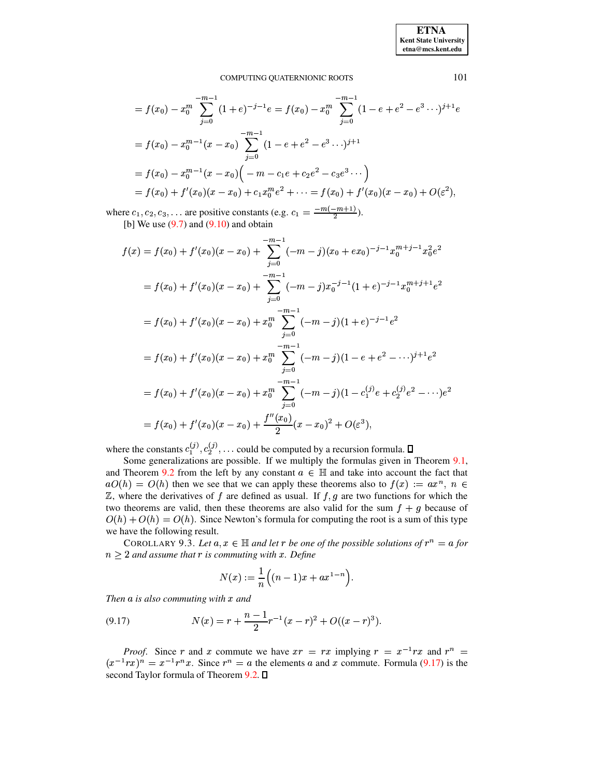**ETNA Kent State University**  $etna@mcs. kent.edu$ 

#### COMPUTING QUATERNIONIC ROOTS

$$
= f(x_0) - x_0^m \sum_{j=0}^{-m-1} (1+e)^{-j-1} e = f(x_0) - x_0^m \sum_{j=0}^{-m-1} (1-e+e^2-e^3\cdots)^{j+1} e
$$
  

$$
= f(x_0) - x_0^{m-1} (x-x_0) \sum_{j=0}^{-m-1} (1-e+e^2-e^3\cdots)^{j+1}
$$
  

$$
= f(x_0) - x_0^{m-1} (x-x_0) \Big( -m - c_1e + c_2e^2 - c_3e^3\cdots \Big)
$$
  

$$
= f(x_0) + f'(x_0) (x-x_0) + c_1x_0^m e^2 + \cdots = f(x_0) + f'(x_0) (x-x_0) + O(\varepsilon^2),
$$

where  $c_1, c_2, c_3, \ldots$  are positive constants (e.g.  $c_1 = \frac{-m(-m+1)}{2}$ ). [b] We use  $(9.7)$  and  $(9.10)$  and obtain

$$
f(x) = f(x_0) + f'(x_0)(x - x_0) + \sum_{j=0}^{-m-1} (-m-j)(x_0 + ex_0)^{-j-1}x_0^{m+j-1}x_0^2e^2
$$
  
\n
$$
= f(x_0) + f'(x_0)(x - x_0) + \sum_{j=0}^{-m-1} (-m-j)x_0^{-j-1}(1+e)^{-j-1}x_0^{m+j+1}e^2
$$
  
\n
$$
= f(x_0) + f'(x_0)(x - x_0) + x_0^m \sum_{j=0}^{-m-1} (-m-j)(1+e)^{-j-1}e^2
$$
  
\n
$$
= f(x_0) + f'(x_0)(x - x_0) + x_0^m \sum_{j=0}^{-m-1} (-m-j)(1-e+e^2 - \cdots)^{j+1}e^2
$$
  
\n
$$
= f(x_0) + f'(x_0)(x - x_0) + x_0^m \sum_{j=0}^{-m-1} (-m-j)(1 - c_1^{(j)}e + c_2^{(j)}e^2 - \cdots)e^2
$$
  
\n
$$
= f(x_0) + f'(x_0)(x - x_0) + \frac{f''(x_0)}{2}(x - x_0)^2 + O(\varepsilon^3),
$$

where the constants  $c_1^{(j)}, c_2^{(j)}, \ldots$  could be computed by a recursion formula.  $\square$ 

Some generalizations are possible. If we multiply the formulas given in Theorem 9.1, and Theorem 9.2 from the left by any constant  $a \in \mathbb{H}$  and take into account the fact that  $aO(h) = O(h)$  then we see that we can apply these theorems also to  $f(x) := ax^n$ ,  $n \in$  $\mathbb{Z}$ , where the derivatives of f are defined as usual. If  $f, g$  are two functions for which the two theorems are valid, then these theorems are also valid for the sum  $f + g$  because of  $O(h) + O(h) = O(h)$ . Since Newton's formula for computing the root is a sum of this type we have the following result.

COROLLARY 9.3. Let  $a, x \in \mathbb{H}$  and let r be one of the possible solutions of  $r^n = a$  for  $n > 2$  and assume that r is commuting with x. Define

$$
N(x) := \frac{1}{n} \Big( (n-1)x + ax^{1-n} \Big).
$$

Then  $a$  is also commuting with  $x$  and

<span id="page-19-0"></span>(9.17) 
$$
N(x) = r + \frac{n-1}{2}r^{-1}(x-r)^2 + O((x-r)^3).
$$

*Proof.* Since r and x commute we have  $xr = rx$  implying  $r = x^{-1}rx$  and  $r^n =$  $(x^{-1}rx)^n = x^{-1}r^n x$ . Since  $r^n = a$  the elements a and x commute. Formula (9.17) is the second Taylor formula of Theorem 9.2. D